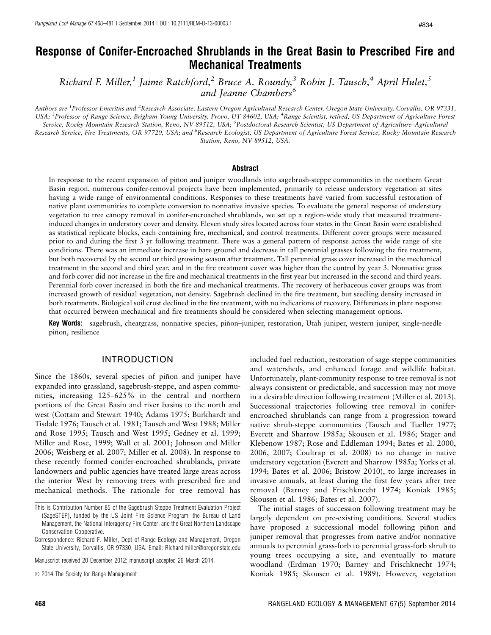# Response of Conifer-Encroached Shrublands in the Great Basin to Prescribed Fire and Mechanical Treatments

Richard F. Miller,<sup>1</sup> Jaime Ratchford,<sup>2</sup> Bruce A. Roundy,<sup>3</sup> Robin J. Tausch,<sup>4</sup> April Hulet,<sup>5</sup> and Jeanne Chambers<sup>6</sup>

Authors are <sup>1</sup>Professor Emeritus and <sup>2</sup>Research Associate, Eastern Oregon Agricultural Research Center, Oregon State University, Corvallis, OR 97331, USA; <sup>3</sup>Professor of Range Science, Brigham Young University, Provo, UT 84602, USA; <sup>4</sup>Range Scientist, retired, US Department of Agriculture Forest Service, Rocky Mountain Research Station, Reno, NV 89512, USA; <sup>5</sup>Postdoctoral Research Scientist, US Department of Agriculture–Agricultural Research Service, Fire Treatments, OR 97720, USA; and <sup>6</sup>Research Ecologist, US Department of Agriculture Forest Service, Rocky Mountain Research Station, Reno, NV 89512, USA.

#### Abstract

In response to the recent expansion of piñon and juniper woodlands into sagebrush-steppe communities in the northern Great Basin region, numerous conifer-removal projects have been implemented, primarily to release understory vegetation at sites having a wide range of environmental conditions. Responses to these treatments have varied from successful restoration of native plant communities to complete conversion to nonnative invasive species. To evaluate the general response of understory vegetation to tree canopy removal in conifer-encroached shrublands, we set up a region-wide study that measured treatmentinduced changes in understory cover and density. Eleven study sites located across four states in the Great Basin were established as statistical replicate blocks, each containing fire, mechanical, and control treatments. Different cover groups were measured prior to and during the first 3 yr following treatment. There was a general pattern of response across the wide range of site conditions. There was an immediate increase in bare ground and decrease in tall perennial grasses following the fire treatment, but both recovered by the second or third growing season after treatment. Tall perennial grass cover increased in the mechanical treatment in the second and third year, and in the fire treatment cover was higher than the control by year 3. Nonnative grass and forb cover did not increase in the fire and mechanical treatments in the first year but increased in the second and third years. Perennial forb cover increased in both the fire and mechanical treatments. The recovery of herbaceous cover groups was from increased growth of residual vegetation, not density. Sagebrush declined in the fire treatment, but seedling density increased in both treatments. Biological soil crust declined in the fire treatment, with no indications of recovery. Differences in plant response that occurred between mechanical and fire treatments should be considered when selecting management options.

Key Words: sagebrush, cheatgrass, nonnative species, piñon–juniper, restoration, Utah juniper, western juniper, single-needle piñon, resilience

#### INTRODUCTION

Since the 1860s, several species of piñon and juniper have expanded into grassland, sagebrush-steppe, and aspen communities, increasing 125–625% in the central and northern portions of the Great Basin and river basins to the north and west (Cottam and Stewart 1940; Adams 1975; Burkhardt and Tisdale 1976; Tausch et al. 1981; Tausch and West 1988; Miller and Rose 1995; Tausch and West 1995; Gedney et al. 1999; Miller and Rose, 1999; Wall et al. 2001; Johnson and Miller 2006; Weisberg et al. 2007; Miller et al. 2008). In response to these recently formed conifer-encroached shrublands, private landowners and public agencies have treated large areas across the interior West by removing trees with prescribed fire and mechanical methods. The rationale for tree removal has

Manuscript received 20 December 2012; manuscript accepted 26 March 2014.

 $\odot$  2014 The Society for Range Management

included fuel reduction, restoration of sage-steppe communities and watersheds, and enhanced forage and wildlife habitat. Unfortunately, plant-community response to tree removal is not always consistent or predictable, and succession may not move in a desirable direction following treatment (Miller et al. 2013). Successional trajectories following tree removal in coniferencroached shrublands can range from a progression toward native shrub-steppe communities (Tausch and Tueller 1977; Everett and Sharrow 1985a; Skousen et al. 1986; Stager and Klebenow 1987; Rose and Eddleman 1994; Bates et al. 2000, 2006, 2007; Coultrap et al. 2008) to no change in native understory vegetation (Everett and Sharrow 1985a; Yorks et al. 1994; Bates et al. 2006; Bristow 2010), to large increases in invasive annuals, at least during the first few years after tree removal (Barney and Frischknecht 1974; Koniak 1985; Skousen et al. 1986; Bates et al. 2007).

The initial stages of succession following treatment may be largely dependent on pre-existing conditions. Several studies have proposed a successional model following piñon and juniper removal that progresses from native and/or nonnative annuals to perennial grass-forb to perennial grass-forb shrub to young trees occupying a site, and eventually to mature woodland (Erdman 1970; Barney and Frischknecht 1974; Koniak 1985; Skousen et al. 1989). However, vegetation

This is Contribution Number 85 of the Sagebrush Steppe Treatment Evaluation Project (SageSTEP), funded by the US Joint Fire Science Program, the Bureau of Land Management, the National Interagency Fire Center, and the Great Northern Landscape Conservation Cooperative.

Correspondence: Richard F. Miller, Dept of Range Ecology and Management, Oregon State University, Corvallis, OR 97330, USA. Email: Richard.miller@oregonstate.edu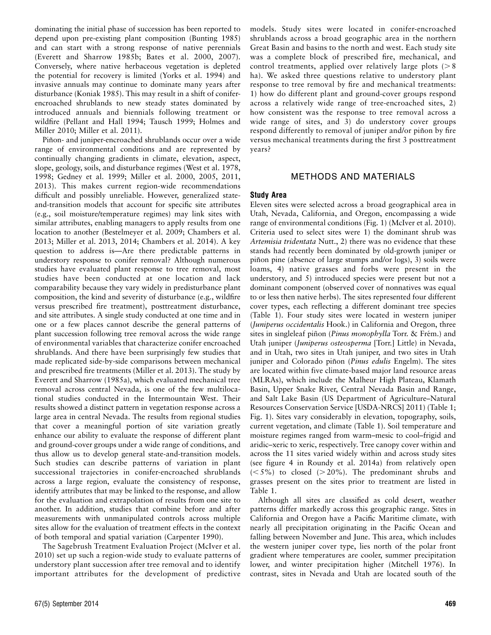dominating the initial phase of succession has been reported to depend upon pre-existing plant composition (Bunting 1985) and can start with a strong response of native perennials (Everett and Sharrow 1985b; Bates et al. 2000, 2007). Conversely, where native herbaceous vegetation is depleted the potential for recovery is limited (Yorks et al. 1994) and invasive annuals may continue to dominate many years after disturbance (Koniak 1985). This may result in a shift of coniferencroached shrublands to new steady states dominated by introduced annuals and biennials following treatment or wildfire (Pellant and Hall 1994; Tausch 1999; Holmes and Miller 2010; Miller et al. 2011).

Piñon- and juniper-encroached shrublands occur over a wide range of environmental conditions and are represented by continually changing gradients in climate, elevation, aspect, slope, geology, soils, and disturbance regimes (West et al. 1978, 1998; Gedney et al. 1999; Miller et al. 2000, 2005, 2011, 2013). This makes current region-wide recommendations difficult and possibly unreliable. However, generalized stateand-transition models that account for specific site attributes (e.g., soil moisture/temperature regimes) may link sites with similar attributes, enabling managers to apply results from one location to another (Bestelmeyer et al. 2009; Chambers et al. 2013; Miller et al. 2013, 2014; Chambers et al. 2014). A key question to address is—Are there predictable patterns in understory response to conifer removal? Although numerous studies have evaluated plant response to tree removal, most studies have been conducted at one location and lack comparability because they vary widely in predisturbance plant composition, the kind and severity of disturbance (e.g., wildfire versus prescribed fire treatment), posttreatment disturbance, and site attributes. A single study conducted at one time and in one or a few places cannot describe the general patterns of plant succession following tree removal across the wide range of environmental variables that characterize conifer encroached shrublands. And there have been surprisingly few studies that made replicated side-by-side comparisons between mechanical and prescribed fire treatments (Miller et al. 2013). The study by Everett and Sharrow (1985a), which evaluated mechanical tree removal across central Nevada, is one of the few multilocational studies conducted in the Intermountain West. Their results showed a distinct pattern in vegetation response across a large area in central Nevada. The results from regional studies that cover a meaningful portion of site variation greatly enhance our ability to evaluate the response of different plant and ground-cover groups under a wide range of conditions, and thus allow us to develop general state-and-transition models. Such studies can describe patterns of variation in plant successional trajectories in conifer-encroached shrublands across a large region, evaluate the consistency of response, identify attributes that may be linked to the response, and allow for the evaluation and extrapolation of results from one site to another. In addition, studies that combine before and after measurements with unmanipulated controls across multiple sites allow for the evaluation of treatment effects in the context of both temporal and spatial variation (Carpenter 1990).

The Sagebrush Treatment Evaluation Project (McIver et al. 2010) set up such a region-wide study to evaluate patterns of understory plant succession after tree removal and to identify important attributes for the development of predictive

models. Study sites were located in conifer-encroached shrublands across a broad geographic area in the northern Great Basin and basins to the north and west. Each study site was a complete block of prescribed fire, mechanical, and control treatments, applied over relatively large plots  $( > 8$ ha). We asked three questions relative to understory plant response to tree removal by fire and mechanical treatments: 1) how do different plant and ground-cover groups respond across a relatively wide range of tree-encroached sites, 2) how consistent was the response to tree removal across a wide range of sites, and 3) do understory cover groups respond differently to removal of juniper and/or piñon by fire versus mechanical treatments during the first 3 posttreatment years?

## METHODS AND MATERIALS

### Study Area

Eleven sites were selected across a broad geographical area in Utah, Nevada, California, and Oregon, encompassing a wide range of environmental conditions (Fig. 1) (McIver et al. 2010). Criteria used to select sites were 1) the dominant shrub was Artemisia tridentata Nutt., 2) there was no evidence that these stands had recently been dominated by old-growth juniper or piñon pine (absence of large stumps and/or  $\log s$ ), 3) soils were loams, 4) native grasses and forbs were present in the understory, and 5) introduced species were present but not a dominant component (observed cover of nonnatives was equal to or less then native herbs). The sites represented four different cover types, each reflecting a different dominant tree species (Table 1). Four study sites were located in western juniper (Juniperus occidentalis Hook.) in California and Oregon, three sites in singleleaf piñon (*Pinus monophylla* Torr.  $\&$  Frém.) and Utah juniper (Juniperus osteosperma [Torr.] Little) in Nevada, and in Utah, two sites in Utah juniper, and two sites in Utah juniper and Colorado piñon (Pinus edulis Engelm). The sites are located within five climate-based major land resource areas (MLRAs), which include the Malheur High Plateau, Klamath Basin, Upper Snake River, Central Nevada Basin and Range, and Salt Lake Basin (US Department of Agriculture–Natural Resources Conservation Service [USDA-NRCS] 2011) (Table 1; Fig. 1). Sites vary considerably in elevation, topography, soils, current vegetation, and climate (Table 1). Soil temperature and moisture regimes ranged from warm–mesic to cool–frigid and aridic–xeric to xeric, respectively. Tree canopy cover within and across the 11 sites varied widely within and across study sites (see figure 4 in Roundy et al. 2014a) from relatively open  $(< 5\%)$  to closed  $(> 20\%)$ . The predominant shrubs and grasses present on the sites prior to treatment are listed in Table 1.

Although all sites are classified as cold desert, weather patterns differ markedly across this geographic range. Sites in California and Oregon have a Pacific Maritime climate, with nearly all precipitation originating in the Pacific Ocean and falling between November and June. This area, which includes the western juniper cover type, lies north of the polar front gradient where temperatures are cooler, summer precipitation lower, and winter precipitation higher (Mitchell 1976). In contrast, sites in Nevada and Utah are located south of the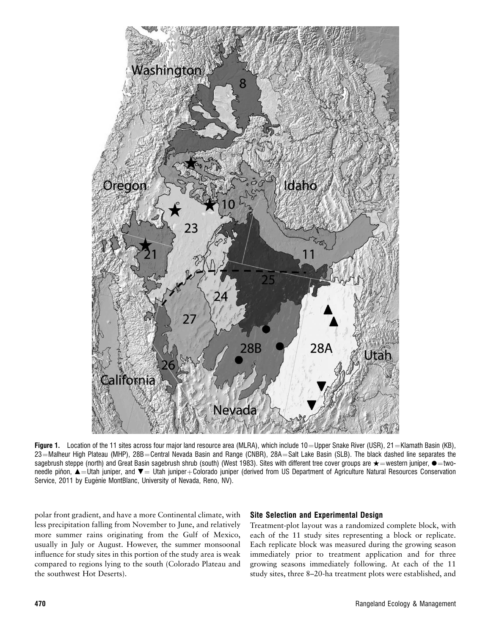

Figure 1. Location of the 11 sites across four major land resource area (MLRA), which include  $10=U$ pper Snake River (USR), 21 = Klamath Basin (KB), 23 = Malheur High Plateau (MHP), 28B = Central Nevada Basin and Range (CNBR), 28A = Salt Lake Basin (SLB). The black dashed line separates the sagebrush steppe (north) and Great Basin sagebrush shrub (south) (West 1983). Sites with different tree cover groups are  $\star$  = western juniper,  $\bullet$  = twoneedle piñon, ▲ Utah juniper, and ▼ Utah juniper+Colorado juniper (derived from US Department of Agriculture Natural Resources Conservation Service, 2011 by Eugénie MontBlanc, University of Nevada, Reno, NV).

polar front gradient, and have a more Continental climate, with less precipitation falling from November to June, and relatively more summer rains originating from the Gulf of Mexico, usually in July or August. However, the summer monsoonal influence for study sites in this portion of the study area is weak compared to regions lying to the south (Colorado Plateau and the southwest Hot Deserts).

#### Site Selection and Experimental Design

Treatment-plot layout was a randomized complete block, with each of the 11 study sites representing a block or replicate. Each replicate block was measured during the growing season immediately prior to treatment application and for three growing seasons immediately following. At each of the 11 study sites, three 8–20-ha treatment plots were established, and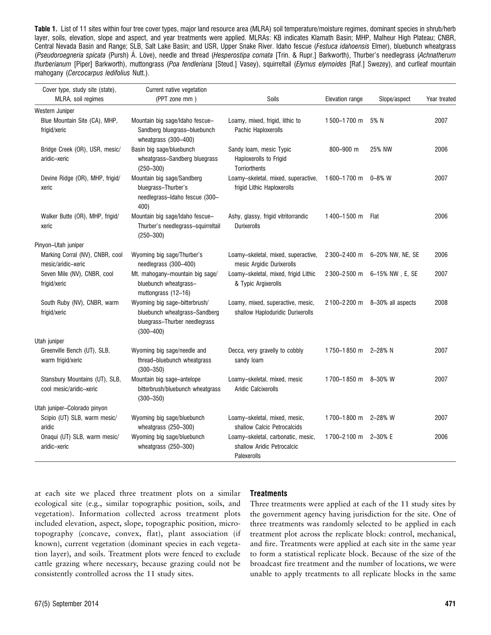Table 1. List of 11 sites within four tree cover types, major land resource area (MLRA) soil temperature/moisture regimes, dominant species in shrub/herb layer, soils, elevation, slope and aspect, and year treatments were applied. MLRAs: KB indicates Klamath Basin; MHP, Malheur High Plateau; CNBR, Central Nevada Basin and Range; SLB, Salt Lake Basin; and USR, Upper Snake River. Idaho fescue (Festuca idahoensis Elmer), bluebunch wheatgrass (Pseudoroegneria spicata (Pursh) A. Löve), needle and thread (Hesperostipa comata [Trin. & Rupr.] Barkworth), Thurber's needlegrass (Achnatherum thurberianum [Piper] Barkworth), muttongrass (Poa fendleriana [Steud.] Vasey), squirreltail (Elymus elymoides [Raf.] Swezey), and curlleaf mountain mahogany (Cercocarpus ledifolius Nutt.).

| Cover type, study site (state),                           | Current native vegetation                                                                                        |                                                                                 |                     |                   |              |
|-----------------------------------------------------------|------------------------------------------------------------------------------------------------------------------|---------------------------------------------------------------------------------|---------------------|-------------------|--------------|
| MLRA, soil regimes                                        | (PPT zone mm)                                                                                                    | Soils                                                                           | Elevation range     | Slope/aspect      | Year treated |
| Western Juniper                                           |                                                                                                                  |                                                                                 |                     |                   |              |
| Blue Mountain Site (CA), MHP,<br>frigid/xeric             | Mountain big sage/Idaho fescue-<br>Sandberg bluegrass-bluebunch<br>wheatgrass $(300-400)$                        | Loamy, mixed, frigid, lithic to<br>Pachic Haploxerolls                          | 1500-1700 m         | 5% N              | 2007         |
| Bridge Creek (OR), USR, mesic/<br>aridic-xeric            | Basin big sage/bluebunch<br>wheatgrass-Sandberg bluegrass<br>$(250 - 300)$                                       | Sandy Ioam, mesic Typic<br>Haploxerolls to Frigid<br>Torriorthents              | 800-900 m           | 25% NW            | 2006         |
| Devine Ridge (OR), MHP, frigid/<br>xeric                  | Mountain big sage/Sandberg<br>bluegrass-Thurber's<br>needlegrass-Idaho fescue (300-<br>400)                      | Loamy-skeletal, mixed, superactive,<br>frigid Lithic Haploxerolls               | 1600-1700 m         | $0 - 8\%$ W       | 2007         |
| Walker Butte (OR), MHP, frigid/<br>xeric                  | Mountain big sage/Idaho fescue-<br>Thurber's needlegrass-squirreltail<br>$(250 - 300)$                           | Ashy, glassy, frigid vitritorrandic<br><b>Durixerolls</b>                       | 1400-1500 m         | Flat              | 2006         |
| Pinyon-Utah juniper                                       |                                                                                                                  |                                                                                 |                     |                   |              |
| Marking Corral (NV), CNBR, cool<br>mesic/aridic-xeric     | Wyoming big sage/Thurber's<br>needlegrass (300-400)                                                              | Loamy-skeletal, mixed, superactive,<br>mesic Argidic Durixerolls                | 2 300-2 400 m       | 6-20% NW, NE, SE  | 2006         |
| Seven Mile (NV), CNBR, cool<br>frigid/xeric               | Mt. mahogany-mountain big sage/<br>bluebunch wheatgrass-<br>muttongrass (12-16)                                  | Loamy-skeletal, mixed, frigid Lithic<br>& Typic Argixerolls                     | 2 300-2 500 m       | 6-15% NW, E, SE   | 2007         |
| South Ruby (NV), CNBR, warm<br>frigid/xeric               | Wyoming big sage-bitterbrush/<br>bluebunch wheatgrass-Sandberg<br>bluegrass-Thurber needlegrass<br>$(300 - 400)$ | Loamy, mixed, superactive, mesic,<br>shallow Haploduridic Durixerolls           | 2100-2200 m         | 8-30% all aspects | 2008         |
| Utah juniper                                              |                                                                                                                  |                                                                                 |                     |                   |              |
| Greenville Bench (UT), SLB,<br>warm frigid/xeric          | Wyoming big sage/needle and<br>thread-bluebunch wheatgrass<br>$(300 - 350)$                                      | Decca, very gravelly to cobbly<br>sandy loam                                    | 1750-1850 m         | 2-28% N           | 2007         |
| Stansbury Mountains (UT), SLB,<br>cool mesic/aridic-xeric | Mountain big sage-antelope<br>bitterbrush/bluebunch wheatgrass<br>$(300 - 350)$                                  | Loamy-skeletal, mixed, mesic<br>Aridic Calcixerolls                             | 1700-1850 m 8-30% W |                   | 2007         |
| Utah juniper-Colorado pinyon                              |                                                                                                                  |                                                                                 |                     |                   |              |
| Scipio (UT) SLB, warm mesic/<br>aridic                    | Wyoming big sage/bluebunch<br>wheatgrass (250-300)                                                               | Loamy-skeletal, mixed, mesic,<br>shallow Calcic Petrocalcids                    | 1700-1800 m         | 2–28% W           | 2007         |
| Onaqui (UT) SLB, warm mesic/<br>aridic-xeric              | Wyoming big sage/bluebunch<br>wheatgrass (250-300)                                                               | Loamy-skeletal, carbonatic, mesic,<br>shallow Aridic Petrocalcic<br>Palexerolls | 1700-2100 m         | 2–30% E           | 2006         |

at each site we placed three treatment plots on a similar ecological site (e.g., similar topographic position, soils, and vegetation). Information collected across treatment plots included elevation, aspect, slope, topographic position, microtopography (concave, convex, flat), plant association (if known), current vegetation (dominant species in each vegetation layer), and soils. Treatment plots were fenced to exclude cattle grazing where necessary, because grazing could not be consistently controlled across the 11 study sites.

#### **Treatments**

Three treatments were applied at each of the 11 study sites by the government agency having jurisdiction for the site. One of three treatments was randomly selected to be applied in each treatment plot across the replicate block: control, mechanical, and fire. Treatments were applied at each site in the same year to form a statistical replicate block. Because of the size of the broadcast fire treatment and the number of locations, we were unable to apply treatments to all replicate blocks in the same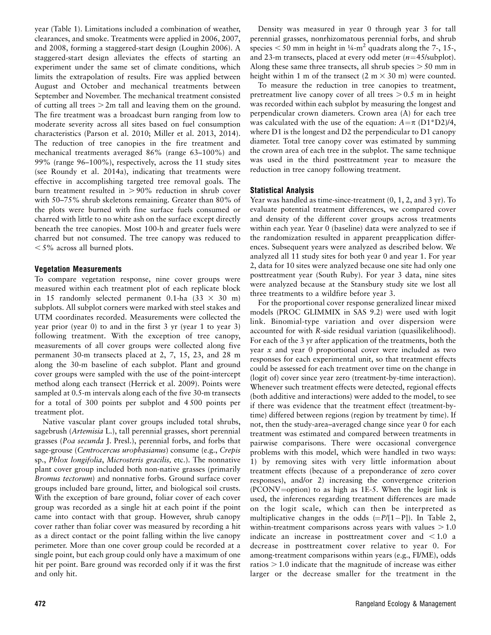year (Table 1). Limitations included a combination of weather, clearances, and smoke. Treatments were applied in 2006, 2007, and 2008, forming a staggered-start design (Loughin 2006). A staggered-start design alleviates the effects of starting an experiment under the same set of climate conditions, which limits the extrapolation of results. Fire was applied between August and October and mechanical treatments between September and November. The mechanical treatment consisted of cutting all trees  $>2m$  tall and leaving them on the ground. The fire treatment was a broadcast burn ranging from low to moderate severity across all sites based on fuel consumption characteristics (Parson et al. 2010; Miller et al. 2013, 2014). The reduction of tree canopies in the fire treatment and mechanical treatments averaged 86% (range 63–100%) and 99% (range 96–100%), respectively, across the 11 study sites (see Roundy et al. 2014a), indicating that treatments were effective in accomplishing targeted tree removal goals. The burn treatment resulted in  $> 90\%$  reduction in shrub cover with 50–75% shrub skeletons remaining. Greater than 80% of the plots were burned with fine surface fuels consumed or charred with little to no white ash on the surface except directly beneath the tree canopies. Most 100-h and greater fuels were charred but not consumed. The tree canopy was reduced to  $<$  5% across all burned plots.

### Vegetation Measurements

To compare vegetation response, nine cover groups were measured within each treatment plot of each replicate block in 15 randomly selected permanent 0.1-ha  $(33 \times 30 \text{ m})$ subplots. All subplot corners were marked with steel stakes and UTM coordinates recorded. Measurements were collected the year prior (year 0) to and in the first 3 yr (year 1 to year 3) following treatment. With the exception of tree canopy, measurements of all cover groups were collected along five permanent 30-m transects placed at 2, 7, 15, 23, and 28 m along the 30-m baseline of each subplot. Plant and ground cover groups were sampled with the use of the point-intercept method along each transect (Herrick et al. 2009). Points were sampled at 0.5-m intervals along each of the five 30-m transects for a total of 300 points per subplot and 4 500 points per treatment plot.

Native vascular plant cover groups included total shrubs, sagebrush (Artemisia L.), tall perennial grasses, short perennial grasses (Poa secunda J. Presl.), perennial forbs, and forbs that sage-grouse (Centrocercus urophasianus) consume (e.g., Crepis sp., Phlox longifolia, Microsteris gracilis, etc.). The nonnative plant cover group included both non-native grasses (primarily Bromus tectorum) and nonnative forbs. Ground surface cover groups included bare ground, litter, and biological soil crusts. With the exception of bare ground, foliar cover of each cover group was recorded as a single hit at each point if the point came into contact with that group. However, shrub canopy cover rather than foliar cover was measured by recording a hit as a direct contact or the point falling within the live canopy perimeter. More than one cover group could be recorded at a single point, but each group could only have a maximum of one hit per point. Bare ground was recorded only if it was the first and only hit.

Density was measured in year 0 through year 3 for tall perennial grasses, nonrhizomatous perennial forbs, and shrub species  $<$  50 mm in height in ¼-m<sup>2</sup> quadrats along the 7-, 15-, and 23-m transects, placed at every odd meter  $(n=45/\text{subplot})$ . Along these same three transects, all shrub species  $> 50$  mm in height within 1 m of the transect  $(2 \text{ m} \times 30 \text{ m})$  were counted.

To measure the reduction in tree canopies to treatment, pretreatment live canopy cover of all trees  $> 0.5$  m in height was recorded within each subplot by measuring the longest and perpendicular crown diameters. Crown area (A) for each tree was calculated with the use of the equation:  $A = \pi (D1*D2)/4$ , where D1 is the longest and D2 the perpendicular to D1 canopy diameter. Total tree canopy cover was estimated by summing the crown area of each tree in the subplot. The same technique was used in the third posttreatment year to measure the reduction in tree canopy following treatment.

### Statistical Analysis

Year was handled as time-since-treatment (0, 1, 2, and 3 yr). To evaluate potential treatment differences, we compared cover and density of the different cover groups across treatments within each year. Year 0 (baseline) data were analyzed to see if the randomization resulted in apparent preapplication differences. Subsequent years were analyzed as described below. We analyzed all 11 study sites for both year 0 and year 1. For year 2, data for 10 sites were analyzed because one site had only one posttreatment year (South Ruby). For year 3 data, nine sites were analyzed because at the Stansbury study site we lost all three treatments to a wildfire before year 3.

For the proportional cover response generalized linear mixed models (PROC GLIMMIX in SAS 9.2) were used with logit link. Binomial-type variation and over dispersion were accounted for with R-side residual variation (quasilikelihood). For each of the 3 yr after application of the treatments, both the year  $x$  and year 0 proportional cover were included as two responses for each experimental unit, so that treatment effects could be assessed for each treatment over time on the change in (logit of) cover since year zero (treatment-by-time interaction). Whenever such treatment effects were detected, regional effects (both additive and interactions) were added to the model, to see if there was evidence that the treatment effect (treatment-bytime) differed between regions (region by treatment by time). If not, then the study-area–averaged change since year 0 for each treatment was estimated and compared between treatments in pairwise comparisons. There were occasional convergence problems with this model, which were handled in two ways: 1) by removing sites with very little information about treatment effects (because of a preponderance of zero cover responses), and/or 2) increasing the convergence criterion (PCONV=option) to as high as  $1E-5$ . When the logit link is used, the inferences regarding treatment differences are made on the logit scale, which can then be interpreted as multiplicative changes in the odds  $(=P/[1-P])$ . In Table 2, within-treatment comparisons across years with values  $>1.0$ indicate an increase in posttreatment cover and  $\leq 1.0$  a decrease in posttreatment cover relative to year 0. For among-treatment comparisons within years (e.g., FI/ME), odds ratios  $> 1.0$  indicate that the magnitude of increase was either larger or the decrease smaller for the treatment in the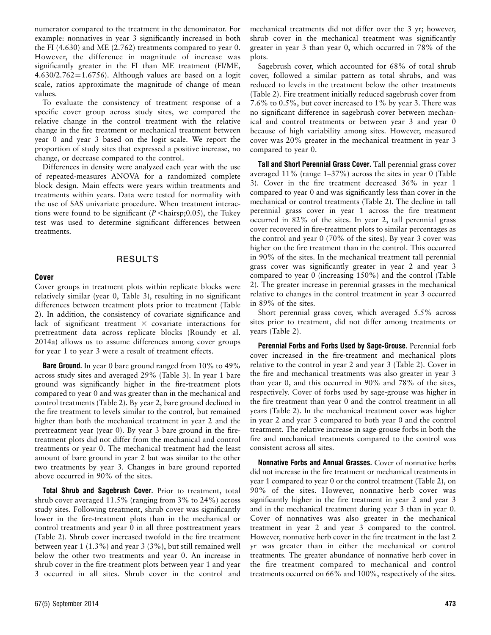numerator compared to the treatment in the denominator. For example: nonnatives in year 3 significantly increased in both the FI (4.630) and ME (2.762) treatments compared to year 0. However, the difference in magnitude of increase was significantly greater in the FI than ME treatment (FI/ME,  $4.630/2.762 = 1.6756$ . Although values are based on a logit scale, ratios approximate the magnitude of change of mean values.

To evaluate the consistency of treatment response of a specific cover group across study sites, we compared the relative change in the control treatment with the relative change in the fire treatment or mechanical treatment between year 0 and year 3 based on the logit scale. We report the proportion of study sites that expressed a positive increase, no change, or decrease compared to the control.

Differences in density were analyzed each year with the use of repeated-measures ANOVA for a randomized complete block design. Main effects were years within treatments and treatments within years. Data were tested for normality with the use of SAS univariate procedure. When treatment interactions were found to be significant ( $P$  <hairsp;0.05), the Tukey test was used to determine significant differences between treatments.

#### RESULTS

#### Cover

Cover groups in treatment plots within replicate blocks were relatively similar (year 0, Table 3), resulting in no significant differences between treatment plots prior to treatment (Table 2). In addition, the consistency of covariate significance and lack of significant treatment  $\times$  covariate interactions for pretreatment data across replicate blocks (Roundy et al. 2014a) allows us to assume differences among cover groups for year 1 to year 3 were a result of treatment effects.

**Bare Ground.** In year 0 bare ground ranged from 10% to 49% across study sites and averaged 29% (Table 3). In year 1 bare ground was significantly higher in the fire-treatment plots compared to year 0 and was greater than in the mechanical and control treatments (Table 2). By year 2, bare ground declined in the fire treatment to levels similar to the control, but remained higher than both the mechanical treatment in year 2 and the pretreatment year (year 0). By year 3 bare ground in the firetreatment plots did not differ from the mechanical and control treatments or year 0. The mechanical treatment had the least amount of bare ground in year 2 but was similar to the other two treatments by year 3. Changes in bare ground reported above occurred in 90% of the sites.

Total Shrub and Sagebrush Cover. Prior to treatment, total shrub cover averaged 11.5% (ranging from 3% to 24%) across study sites. Following treatment, shrub cover was significantly lower in the fire-treatment plots than in the mechanical or control treatments and year 0 in all three posttreatment years (Table 2). Shrub cover increased twofold in the fire treatment between year 1 (1.3%) and year 3 (3%), but still remained well below the other two treatments and year 0. An increase in shrub cover in the fire-treatment plots between year 1 and year 3 occurred in all sites. Shrub cover in the control and

mechanical treatments did not differ over the 3 yr; however, shrub cover in the mechanical treatment was significantly greater in year 3 than year 0, which occurred in 78% of the plots.

Sagebrush cover, which accounted for 68% of total shrub cover, followed a similar pattern as total shrubs, and was reduced to levels in the treatment below the other treatments (Table 2). Fire treatment initially reduced sagebrush cover from 7.6% to 0.5%, but cover increased to 1% by year 3. There was no significant difference in sagebrush cover between mechanical and control treatments or between year 3 and year 0 because of high variability among sites. However, measured cover was 20% greater in the mechanical treatment in year 3 compared to year 0.

Tall and Short Perennial Grass Cover. Tall perennial grass cover averaged 11% (range 1–37%) across the sites in year 0 (Table 3). Cover in the fire treatment decreased 36% in year 1 compared to year 0 and was significantly less than cover in the mechanical or control treatments (Table 2). The decline in tall perennial grass cover in year 1 across the fire treatment occurred in 82% of the sites. In year 2, tall perennial grass cover recovered in fire-treatment plots to similar percentages as the control and year 0 (70% of the sites). By year 3 cover was higher on the fire treatment than in the control. This occurred in 90% of the sites. In the mechanical treatment tall perennial grass cover was significantly greater in year 2 and year 3 compared to year 0 (increasing 150%) and the control (Table 2). The greater increase in perennial grasses in the mechanical relative to changes in the control treatment in year 3 occurred in 89% of the sites.

Short perennial grass cover, which averaged 5.5% across sites prior to treatment, did not differ among treatments or years (Table 2).

Perennial Forbs and Forbs Used by Sage-Grouse. Perennial forb cover increased in the fire-treatment and mechanical plots relative to the control in year 2 and year 3 (Table 2). Cover in the fire and mechanical treatments was also greater in year 3 than year 0, and this occurred in 90% and 78% of the sites, respectively. Cover of forbs used by sage-grouse was higher in the fire treatment than year 0 and the control treatment in all years (Table 2). In the mechanical treatment cover was higher in year 2 and year 3 compared to both year 0 and the control treatment. The relative increase in sage-grouse forbs in both the fire and mechanical treatments compared to the control was consistent across all sites.

Nonnative Forbs and Annual Grasses. Cover of nonnative herbs did not increase in the fire treatment or mechanical treatments in year 1 compared to year 0 or the control treatment (Table 2), on 90% of the sites. However, nonnative herb cover was significantly higher in the fire treatment in year 2 and year 3 and in the mechanical treatment during year 3 than in year 0. Cover of nonnatives was also greater in the mechanical treatment in year 2 and year 3 compared to the control. However, nonnative herb cover in the fire treatment in the last 2 yr was greater than in either the mechanical or control treatments. The greater abundance of nonnative herb cover in the fire treatment compared to mechanical and control treatments occurred on 66% and 100%, respectively of the sites.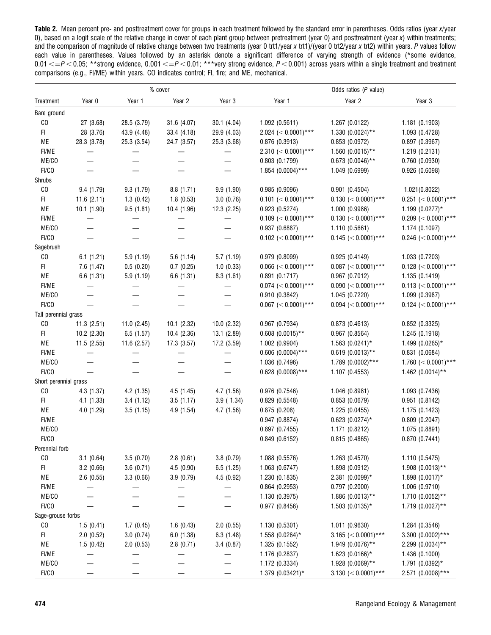Table 2. Mean percent pre- and posttreatment cover for groups in each treatment followed by the standard error in parentheses. Odds ratios (year x/year 0), based on a logit scale of the relative change in cover of each plant group between pretreatment (year 0) and posttreatment (year x) within treatments; and the comparison of magnitude of relative change between two treatments (year 0 trt1/year x trt1)/(year 0 trt2/year x trt2) within years. P values follow each value in parentheses. Values followed by an asterisk denote a significant difference of varying strength of evidence (\*some evidence,  $0.01 \le P \le 0.05$ ; \*\*strong evidence,  $0.001 \le P \le 0.01$ ; \*\*\*very strong evidence,  $P \le 0.001$ ) across years within a single treatment and treatment comparisons (e.g., FI/ME) within years. CO indicates control; FI, fire; and ME, mechanical.

|                       |             |             | % cover     |             |                                  | Odds ratios $(P$ value)   |                        |
|-----------------------|-------------|-------------|-------------|-------------|----------------------------------|---------------------------|------------------------|
| Treatment             | Year 0      | Year 1      | Year 2      | Year 3      | Year 1                           | Year 2                    | Year <sub>3</sub>      |
| Bare ground           |             |             |             |             |                                  |                           |                        |
| C <sub>0</sub>        | 27 (3.68)   | 28.5 (3.79) | 31.6 (4.07) | 30.1 (4.04) | 1.092(0.5611)                    | 1.267 (0.0122)            | 1.181 (0.1903)         |
| FI                    | 28 (3.76)   | 43.9 (4.48) | 33.4 (4.18) | 29.9 (4.03) | 2.024 $(< 0.0001$ <sup>***</sup> | $1.330(0.0024)$ **        | 1.093 (0.4728)         |
| ME                    | 28.3 (3.78) | 25.3 (3.54) | 24.7 (3.57) | 25.3 (3.68) | 0.876(0.3913)                    | 0.853(0.0972)             | 0.897(0.3967)          |
| FI/ME                 |             |             |             |             | 2.310 $(< 0.0001$ )***           | $1.560$ (0.0015)**        | 1.219(0.2131)          |
| ME/CO                 |             |             |             |             | 0.803(0.1799)                    | $0.673$ (0.0046)**        | 0.760(0.0930)          |
| FI/CO                 |             |             |             |             | $1.854(0.0004)$ ***              | 1.049 (0.6999)            | 0.926(0.6098)          |
| Shrubs                |             |             |             |             |                                  |                           |                        |
| C <sub>0</sub>        | 9.4 (1.79)  | 9.3 (1.79)  | 8.8(1.71)   | 9.9 (1.90)  | 0.985(0.9096)                    | 0.901(0.4504)             | 1.021(0.8022)          |
| FI.                   | 11.6(2.11)  | 1.3(0.42)   | 1.8(0.53)   | 3.0(0.76)   | $0.101$ (< 0.0001)***            | $0.130$ (< 0.0001)***     | $0.251$ (< 0.0001)***  |
| ME                    | 10.1 (1.90) | 9.5(1.81)   | 10.4 (1.96) | 12.3(2.25)  | 0.923(0.5274)                    | 1.000 (0.9986)            | $1.199$ (0.0277)*      |
| FI/ME                 |             |             |             |             | $0.109$ (< 0.0001)***            | $0.130 \, (< 0.0001)$ *** | $0.209$ (< 0.0001)***  |
| ME/CO                 |             |             |             |             | 0.937(0.6887)                    | 1.110(0.5661)             | 1.174(0.1097)          |
| FI/CO                 |             |             |             |             | $0.102$ (< 0.0001)***            | $0.145$ (< 0.0001)***     | $0.246$ (< 0.0001)***  |
| Sagebrush             |             |             |             |             |                                  |                           |                        |
| C <sub>0</sub>        | 6.1(1.21)   | 5.9 (1.19)  | 5.6(1.14)   | 5.7(1.19)   | 0.979(0.8099)                    | 0.925(0.4149)             | 1.033 (0.7203)         |
| FI.                   | 7.6(1.47)   | 0.5(0.20)   | 0.7(0.25)   | 1.0(0.33)   | $0.066$ (< 0.0001)***            | $0.087$ (< 0.0001)***     | $0.128$ (< 0.0001)***  |
| ME                    | 6.6(1.31)   | 5.9 (1.19)  | 6.6(1.31)   | 8.3(1.61)   | 0.891(0.1717)                    | 0.967(0.7012)             | 1.135(0.1419)          |
| FI/ME                 |             |             |             |             | $0.074$ (< 0.0001)***            | $0.090$ (< 0.0001)***     | $0.113$ (< 0.0001)***  |
| ME/CO                 |             |             |             |             | 0.910(0.3842)                    | 1.045 (0.7220)            | 1.099 (0.3987)         |
| FI/CO                 |             |             |             |             | $0.067$ (< 0.0001)***            | $0.094$ (< 0.0001)***     | $0.124$ (< 0.0001)***  |
| Tall perennial grass  |             |             |             |             |                                  |                           |                        |
| C <sub>0</sub>        | 11.3(2.51)  | 11.0(2.45)  | 10.1(2.32)  | 10.0(2.32)  | 0.967(0.7934)                    | 0.873(0.4613)             |                        |
|                       |             |             |             |             |                                  |                           | 0.852(0.3325)          |
| FI<br>ME              | 10.2(2.30)  | 6.5(1.57)   | 10.4(2.36)  | 13.1 (2.89) | $0.608$ $(0.0015)$ **            | 0.967(0.8564)             | 1.245(0.1918)          |
|                       | 11.5(2.55)  | 11.6 (2.57) | 17.3 (3.57) | 17.2 (3.59) | 1.002 (0.9904)                   | $1.563$ (0.0241)*         | 1.499 (0.0265)*        |
| FI/ME                 |             |             |             |             | $0.606$ $(0.0004)$ ***           | $0.619$ (0.0013)**        | 0.831(0.0684)          |
| ME/CO                 |             |             |             |             | 1.036 (0.7496)                   | 1.789 (0.0002)***         | 1.760 $(< 0.0001$ )*** |
| FI/CO                 |             |             |             |             | $0.628$ (0.0008)***              | 1.107(0.4553)             | 1.462 $(0.0014)$ **    |
| Short perennial grass |             |             |             |             |                                  |                           |                        |
| C <sub>0</sub>        | 4.3(1.37)   | 4.2 (1.35)  | 4.5(1.45)   | 4.7 (1.56)  | 0.976 (0.7546)                   | 1.046 (0.8981)            | 1.093 (0.7436)         |
| FI                    | 4.1(1.33)   | 3.4(1.12)   | 3.5(1.17)   | 3.9(1.34)   | 0.829(0.5548)                    | 0.853(0.0679)             | 0.951(0.8142)          |
| ME                    | 4.0(1.29)   | 3.5(1.15)   | 4.9(1.54)   | 4.7 (1.56)  | 0.875(0.208)                     | 1.225 (0.0455)            | 1.175 (0.1423)         |
| FI/ME                 |             |             |             |             | 0.947(0.8874)                    | $0.623$ (0.0274)*         | 0.809(0.2047)          |
| ME/CO                 |             |             |             |             | 0.897(0.7455)                    | 1.171 (0.8212)            | 1.075 (0.8891)         |
| FI/CO                 |             |             |             |             | 0.849 (0.6152)                   | 0.815(0.4865)             | 0.870 (0.7441)         |
| Perennial forb        |             |             |             |             |                                  |                           |                        |
| C <sub>0</sub>        | 3.1(0.64)   | 3.5(0.70)   | 2.8(0.61)   | 3.8(0.79)   | 1.088 (0.5576)                   | 1.263 (0.4570)            | 1.110 (0.5475)         |
| FI                    | 3.2(0.66)   | 3.6(0.71)   | 4.5(0.90)   | 6.5(1.25)   | 1.063 (0.6747)                   | 1.898 (0.0912)            | $1.908$ (0.0013)**     |
| ME                    | 2.6(0.55)   | 3.3(0.66)   | 3.9(0.79)   | 4.5 (0.92)  | 1.230 (0.1835)                   | $2.381(0.0099)*$          | $1.898$ (0.0017)*      |
| FI/ME                 |             |             |             |             | 0.864(0.2953)                    | 0.797(0.2000)             | 1.006 (0.9710)         |
| ME/CO                 |             |             |             |             | 1.130 (0.3975)                   | $1.886$ (0.0013)**        | $1.710(0.0052)$ **     |
| FI/CO                 |             |             |             |             | 0.977(0.8456)                    | $1.503$ (0.0135)*         | $1.719$ (0.0027)**     |
| Sage-grouse forbs     |             |             |             |             |                                  |                           |                        |
| CO                    | 1.5(0.41)   | 1.7(0.45)   | 1.6(0.43)   | 2.0(0.55)   | 1.130(0.5301)                    | 1.011 (0.9630)            | 1.284 (0.3546)         |
| FI                    | 2.0(0.52)   | 3.0(0.74)   | 6.0(1.38)   | 6.3(1.48)   | $1.558$ (0.0264)*                | 3.165 $(< 0.0001$ )***    | 3.300 (0.0002)***      |
| ME                    | 1.5(0.42)   | 2.0(0.53)   | 2.8(0.71)   | 3.4(0.87)   | 1.325 (0.1552)                   | 1.949 (0.0076)**          | 2.299 (0.0034)**       |
| FI/ME                 |             |             |             |             | 1.176 (0.2837)                   | $1.623(0.0166)$ *         | 1.436 (0.1000)         |
| ME/CO                 |             |             |             |             | 1.172 (0.3334)                   | 1.928 (0.0069)**          | 1.791 (0.0392)*        |
| FI/CO                 |             |             |             | —           | 1.379 (0.03421)*                 | 3.130 $(< 0.0001$ )***    | $2.571$ (0.0008)***    |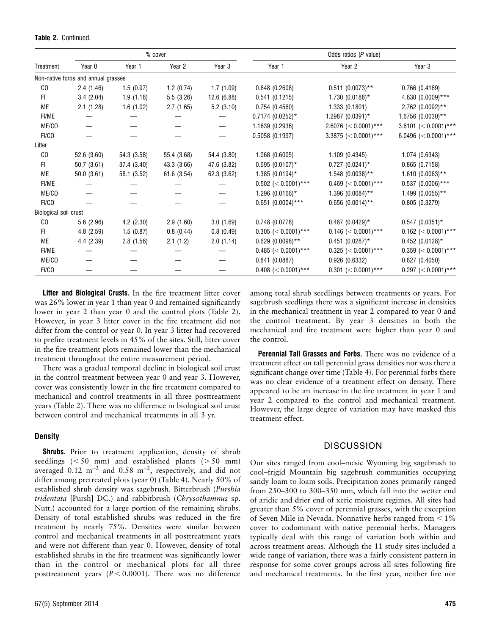|                       |                                     |             | % cover     |             |                                    | Odds ratios $(P$ value)            |                                    |
|-----------------------|-------------------------------------|-------------|-------------|-------------|------------------------------------|------------------------------------|------------------------------------|
| Treatment             | Year 0                              | Year 1      | Year 2      | Year 3      | Year 1                             | Year 2                             | Year 3                             |
|                       | Non-native forbs and annual grasses |             |             |             |                                    |                                    |                                    |
| CO                    | 2.4(1.46)                           | 1.5(0.97)   | 1.2(0.74)   | 1.7(1.09)   | 0.648(0.2608)                      | $0.511$ $(0.0073)$ **              | $0.766$ $(0.4169)$                 |
| FL.                   | 3.4(2.04)                           | 1.9(1.18)   | 5.5(3.26)   | 12.6 (6.88) | 0.541(0.1215)                      | $1.730(0.0188)$ *                  | 4.630 $(0.0009)$ ***               |
| ME                    | 2.1(1.28)                           | 1.6(1.02)   | 2.7(1.65)   | 5.2(3.10)   | 0.754(0.4560)                      | 1.333 (0.1801)                     | $2.762$ (0.0092)**                 |
| FI/ME                 |                                     |             |             |             | $0.7174$ (0.0252)*                 | 1.2987 (0.0391)*                   | $1.6756$ (0.0030)**                |
| ME/CO                 |                                     |             |             |             | 1.1639 (0.2936)                    | 2.6076 $(< 0.0001$ ***             | 3.6101 $(< 0.0001$ )***            |
| FI/CO                 |                                     |             |             |             | 0.5058(0.1997)                     | 3.3875 $(< 0.0001$ ***             | 6.0496 $(< 0.0001$ )***            |
| Litter                |                                     |             |             |             |                                    |                                    |                                    |
| CO                    | 52.6 (3.60)                         | 54.3 (3.58) | 55.4 (3.68) | 54.4 (3.80) | 1.068(0.6005)                      | 1.109(0.4345)                      | 1.074 (0.6343)                     |
| FL.                   | 50.7(3.61)                          | 37.4 (3.40) | 43.3 (3.66) | 47.6 (3.82) | $0.695$ (0.0107)*                  | $0.727$ $(0.0241)^*$               | 0.865(0.7158)                      |
| ME                    | 50.0(3.61)                          | 58.1 (3.52) | 61.6 (3.54) | 62.3 (3.62) | $1.385$ (0.0194)*                  | $1.548$ (0.0038)**                 | $1.610(0.0063)$ **                 |
| FI/ME                 |                                     |             |             |             | $0.502$ (< 0.0001)***              | $0.469 \ (< 0.0001$ <sup>***</sup> | $0.537$ (0.0006)***                |
| ME/CO                 |                                     |             |             |             | $1.296$ (0.0166)*                  | 1.396 (0.0084)**                   | $1.499$ (0.0055)**                 |
| FI/CO                 |                                     |             |             |             | $0.651$ (0.0004)***                | $0.656$ (0.0014)**                 | 0.805(0.3279)                      |
| Biological soil crust |                                     |             |             |             |                                    |                                    |                                    |
| CO                    | 5.6 (2.96)                          | 4.2(2.30)   | 2.9(1.60)   | 3.0(1.69)   | 0.748(0.0778)                      | $0.487$ (0.0429)*                  | $0.547$ (0.0351)*                  |
| FL.                   | 4.8(2.59)                           | 1.5(0.87)   | 0.8(0.44)   | 0.8(0.49)   | $0.305$ (< 0.0001)***              | $0.146$ (< 0.0001)***              | $0.162$ (< 0.0001)***              |
| МE                    | 4.4 (2.39)                          | 2.8(1.56)   | 2.1(1.2)    | 2.0(1.14)   | $0.629$ (0.0098)**                 | $0.451$ (0.0287)*                  | $0.452$ (0.0128)*                  |
| FI/ME                 |                                     |             |             |             | $0.485 \ (< 0.0001$ <sup>***</sup> | $0.325 \leq 0.0001$ ***            | $0.359 \ (< 0.0001$ <sup>***</sup> |
| ME/CO                 |                                     |             |             |             | 0.841(0.0887)                      | 0.926(0.6332)                      | 0.827(0.4050)                      |
| FI/CO                 |                                     |             |             |             | $0.408$ (< 0.0001)***              | $0.301$ (< 0.0001)***              | $0.297 \ (< 0.0001$ <sup>***</sup> |

Litter and Biological Crusts. In the fire treatment litter cover was 26% lower in year 1 than year 0 and remained significantly lower in year 2 than year 0 and the control plots (Table 2). However, in year 3 litter cover in the fire treatment did not differ from the control or year 0. In year 3 litter had recovered to prefire treatment levels in 45% of the sites. Still, litter cover in the fire-treatment plots remained lower than the mechanical treatment throughout the entire measurement period.

There was a gradual temporal decline in biological soil crust in the control treatment between year 0 and year 3. However, cover was consistently lower in the fire treatment compared to mechanical and control treatments in all three posttreatment years (Table 2). There was no difference in biological soil crust between control and mechanical treatments in all 3 yr.

#### **Density**

Shrubs. Prior to treatment application, density of shrub seedlings  $( $50 \text{ mm}$ )$  and established plants  $(>  $50 \text{ mm})$$ averaged 0.12  $\text{m}^{-2}$  and 0.58  $\text{m}^{-2}$ , respectively, and did not differ among pretreated plots (year 0) (Table 4). Nearly 50% of established shrub density was sagebrush. Bitterbrush (Purshia tridentata [Pursh] DC.) and rabbitbrush (Chrysothamnus sp. Nutt.) accounted for a large portion of the remaining shrubs. Density of total established shrubs was reduced in the fire treatment by nearly 75%. Densities were similar between control and mechanical treatments in all posttreatment years and were not different than year 0. However, density of total established shrubs in the fire treatment was significantly lower than in the control or mechanical plots for all three posttreatment years  $(P < 0.0001)$ . There was no difference

67(5) September 2014 **475** 

among total shrub seedlings between treatments or years. For sagebrush seedlings there was a significant increase in densities in the mechanical treatment in year 2 compared to year 0 and the control treatment. By year 3 densities in both the mechanical and fire treatment were higher than year 0 and the control.

Perennial Tall Grasses and Forbs. There was no evidence of a treatment effect on tall perennial grass densities nor was there a significant change over time (Table 4). For perennial forbs there was no clear evidence of a treatment effect on density. There appeared to be an increase in the fire treatment in year 1 and year 2 compared to the control and mechanical treatment. However, the large degree of variation may have masked this treatment effect.

### **DISCUSSION**

Our sites ranged from cool–mesic Wyoming big sagebrush to cool–frigid Mountain big sagebrush communities occupying sandy loam to loam soils. Precipitation zones primarily ranged from 250–300 to 300–350 mm, which fall into the wetter end of aridic and drier end of xeric moisture regimes. All sites had greater than 5% cover of perennial grasses, with the exception of Seven Mile in Nevada. Nonnative herbs ranged from  $\leq 1\%$ cover to codominant with native perennial herbs. Managers typically deal with this range of variation both within and across treatment areas. Although the 11 study sites included a wide range of variation, there was a fairly consistent pattern in response for some cover groups across all sites following fire and mechanical treatments. In the first year, neither fire nor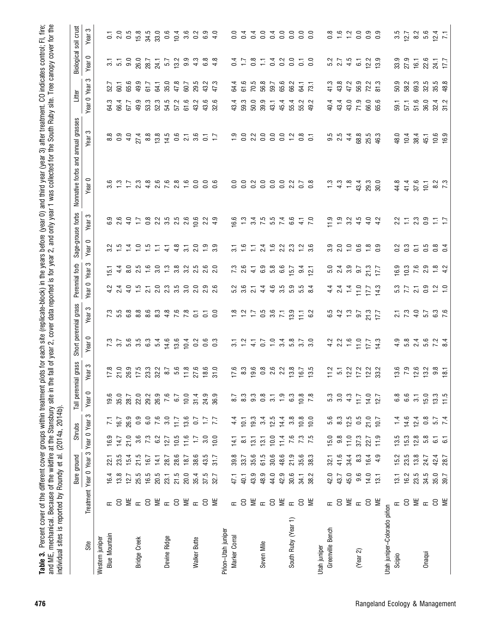| Table 3. Percent cover of the different cover groups within treatment plots for each site (replicate-block) in the years before (year 0) and third year (year 3) after treatment. CO indicates control; FI, fire;<br>and ME, mech<br>individual sites is reported by Roundy et al. |                         |               |      | (2014a, 2014b) |                  |                 |                        |                    |                                                          |                               |                             |                             |                         |                                                                                                                                |                             |                     |                     |                |                        |
|------------------------------------------------------------------------------------------------------------------------------------------------------------------------------------------------------------------------------------------------------------------------------------|-------------------------|---------------|------|----------------|------------------|-----------------|------------------------|--------------------|----------------------------------------------------------|-------------------------------|-----------------------------|-----------------------------|-------------------------|--------------------------------------------------------------------------------------------------------------------------------|-----------------------------|---------------------|---------------------|----------------|------------------------|
|                                                                                                                                                                                                                                                                                    |                         | Bare ground   |      | Shrubs         |                  | Tall perennial  | grass                  | perennial<br>Short | grass                                                    | Perennial forb                |                             | Sage-grouse forbs           |                         | and<br>Nonnative forbs                                                                                                         | annual grasses              | Litter              |                     | Biological     | soil crust             |
| Site                                                                                                                                                                                                                                                                               | Treatment               | Year 0 Year 3 |      | Year 0 Year    | S                | $\circ$<br>Year | S<br>Year:             | Year <sub>0</sub>  | Year <sub>3</sub>                                        | Year 0 Year                   | S                           | Year <sub>0</sub>           | Year:                   | Year <sub>0</sub>                                                                                                              | S<br>Year                   | Year <sup>1</sup>   | က<br>0 Year         | Year 0         | က<br>Year <sup>-</sup> |
| <b>Blue Mountain</b><br>Western juniper                                                                                                                                                                                                                                            | 匸                       | 16.4          | 22.1 | 16.9           | $\overline{z}$   | 19.6            | œ<br>$\overline{r}$    | 7.3                |                                                          | $\sim$                        | 15.1                        | N                           | ၜ<br>ဖ                  | 6<br>က်                                                                                                                        | 8.8                         | က<br>$\mathfrak{g}$ | 52.                 | $\overline{3}$ | $\overline{G}$         |
|                                                                                                                                                                                                                                                                                    | 8                       | 13.8          | 23.5 | 14.7           | 16.7             | 35.0            | 21.0                   | 3.7                | 7. 15. 18.<br>7. 15. 18.                                 | $\overline{4}$<br>2.          | 4.4                         | $\frac{15}{1}$              | 2.6                     |                                                                                                                                | 0.9                         | 66.4                | 60.1                | $\overline{5}$ | 2.0                    |
|                                                                                                                                                                                                                                                                                    | 岂                       | 12.7          | 15.4 | 21.0           | 26.9             | 28.7            | ဇာ<br>26.              | 5.6                |                                                          | 4.0                           | 8.0                         | $\frac{4}{1}$               | 4.0                     | $\frac{1}{1}$ $\frac{1}{2}$                                                                                                    | 4.0                         | 67.7                | 65.6                | 9.0            | 50                     |
| <b>Bridge Creek</b>                                                                                                                                                                                                                                                                | $\overline{\mathbf{u}}$ | 25.5          | 21.5 | 3.6            | $\overline{0.9}$ | 22.0            | 17.5                   | rù.<br>က           | ∞္ ပ္<br>$\infty$                                        | $\frac{15}{1}$                | 2.5                         | $\frac{1}{2}$               | $\ddot{ }$ :            | 23                                                                                                                             | 27.4                        | ၜ<br>49.            | ၜ<br>$\overline{9}$ | 26.0           | 15.8                   |
|                                                                                                                                                                                                                                                                                    | SO                      | 16.5          | 16.7 | 73             | 6.0              | 29.2            | 23.3                   | 6.3                | $\infty$                                                 | $\overline{21}$               | $\frac{6}{1}$               | $\frac{1}{10}$              | 0.8                     | 4.8                                                                                                                            | $8.8$                       | 53.3                | 61.7                | 28.7           | 34.5                   |
|                                                                                                                                                                                                                                                                                    | 岂                       | 20.5          | 14.1 | 6.2            | 7.6              | 26.9            | Ņ<br>$\mathbf{\Im}$    | 5.4                | 8.3<br>8.4                                               |                               | 3.0                         | $\Xi$                       | 2.5<br>2.5              |                                                                                                                                | 13.8                        | က<br>52.            | 64.1                | 24.1           | 33.0                   |
| Devine Ridge                                                                                                                                                                                                                                                                       | $\overline{\mathbf{L}}$ | 23.1          | 28.7 | 12.7           | 3.0              | 7.6             | 8.7                    | 14.6               |                                                          |                               | $\frac{3}{1}$               | $\overline{4}$              |                         | 8.6<br>2.7                                                                                                                     | 14.5                        | G<br>54.            | 35.0                | 5.7            | 0.6                    |
|                                                                                                                                                                                                                                                                                    | S                       | 21.5          | 28.6 | 10.5           | 11.7             | 67              | <u>ထ</u><br>5          | 13.6               | 7.6                                                      |                               | $3.\overline{8}$            | 4.8                         | 2.5                     | $\frac{8}{81}$ $\frac{6}{1}$ $\frac{6}{1}$ $\frac{6}{1}$ $\frac{6}{1}$ $\frac{6}{1}$ $\frac{6}{1}$ $\frac{6}{1}$ $\frac{6}{1}$ | 0.6                         | $\sim$<br>57.       | 47.8                | 13.2           | 10.4                   |
|                                                                                                                                                                                                                                                                                    | 岂                       | 20.0          | 18.7 | 11.6           | 13.6             | 10.0            | 11.8                   | 10.4               | $\overline{7}$ .8                                        |                               | $\sim$<br>က                 | $\overline{3}$ .            | 2.6                     |                                                                                                                                | $\overline{21}$             | 61.6                | 60.7                | 9.9            | $3.\overline{6}$       |
| Walker Butte                                                                                                                                                                                                                                                                       | $E_{\rm c}$ $S$         | 35.4          | 38.6 | $\frac{17}{2}$ | $\overline{0.7}$ | 31.4            | 27.6                   | 0.2                | $\overline{C}$                                           |                               | j.<br>$\mathbf{a}$          | 2.0                         | 10.6                    |                                                                                                                                | 3.6                         | $\sim$<br>43.       | 29.5                | 4.3            | $\sim$                 |
|                                                                                                                                                                                                                                                                                    |                         | 37.5          | 43.5 | 3.0            | $\frac{27}{5}$   | 24.9            | 18.6                   | ី 3<br>០ ១         | $\overline{c}$                                           |                               | ە بە<br>N N                 | $\frac{1}{6}$ $\frac{1}{6}$ | $230$<br>$4.9$          |                                                                                                                                | $\frac{1}{2}$ $\frac{1}{2}$ | $\circ$<br>43.      | 43.2                | 6.8            | 6.9                    |
|                                                                                                                                                                                                                                                                                    | 岂                       | 32.7          | 31.7 | 10.0           |                  | 36.9            | 31.0                   |                    | 0.0                                                      |                               |                             | က်                          |                         |                                                                                                                                |                             | မ<br>32.            | က<br>$\ddot{4}$     | 4.8            | 4.0                    |
| Piñon-Utah juniper                                                                                                                                                                                                                                                                 |                         |               |      |                |                  |                 |                        |                    |                                                          |                               |                             |                             |                         |                                                                                                                                |                             |                     |                     |                |                        |
| Marker Corral                                                                                                                                                                                                                                                                      | 匸                       | 47.1          | 39.8 | 14.1           | 4.4              | 8.7             | 17.6                   | $\overline{3}$     | $\frac{8}{10}$                                           | $\sim$<br>. ت                 | 73                          | $\overline{3}$ .            | 16.6                    | O<br>ö                                                                                                                         | $\frac{5}{1}$               | 4<br>43.            | 4<br>$\dot{a}$      | 0.4            | $\overline{0}$ .       |
|                                                                                                                                                                                                                                                                                    | 8                       | 40.1          | 33.7 | $\overline{8}$ | $\overline{0}$   | $8.3\,$         | 8.3                    | $\frac{1}{2}$      | $\frac{2}{1}$ $\frac{1}{2}$                              | <u>ဇ</u><br>က                 | 2.6                         | $\frac{6}{1}$               | $\frac{3}{1}$           | 0.0                                                                                                                            | 0.0                         | 59.3                | 61.6                | $\ddot{ }$     | 0.4                    |
|                                                                                                                                                                                                                                                                                    | ₩                       | 43.9          | 35.6 | 13.1           | 19.3             | 9.3             | 19.6                   | $\frac{1}{4}$      |                                                          | 2.1                           | $\frac{1}{4}$               | $\Xi$                       | 3.4                     | 0.2                                                                                                                            | 2.2                         | 50.0                | 70.5                | 0.8            | 0.4                    |
| Seven Mile                                                                                                                                                                                                                                                                         | $\overline{\text{L}}$   | 48.9          | 61.5 | 13.1           | 3.4              | 0.8             | ∞ ပ<br>$\circ$         | 0.7                | 0.5                                                      | 4.4                           | 6.9                         | 2.4                         | 7.5                     | 0.0                                                                                                                            | 0.0                         | ာ<br>39.            | $\infty$<br>56.     | Ξ              | 0.0                    |
|                                                                                                                                                                                                                                                                                    | S                       | 44.0          | 30.6 | 10.0           | 12.5             | $\overline{3}$  | $\sim$                 | $\frac{1}{2}$      | 3.6                                                      | G<br>$\div$                   | 5.8                         | 1.6                         | 5.5                     | 0.0                                                                                                                            | 0.0                         | 43.1                | 59.7                | 0.4            | 0.4                    |
|                                                                                                                                                                                                                                                                                    | ₩                       | 42.9          | 48.6 | 11.4           | 14.4             | $\frac{5}{10}$  | $\sim$<br>$\mathbf{C}$ | 3.4                | $\overline{7}$                                           | r.<br>က                       | 6.6                         | 2.3<br>2.3                  | 7.4                     | 0.0                                                                                                                            | 0.0                         | 4<br>45.            | 65.6                | 0.2            | 0.0                    |
| South Ruby (Year 1)                                                                                                                                                                                                                                                                | $\overline{\mathbf{L}}$ | 30.6          | 21.9 | 7.6            | $3.\overline{8}$ | 63              | 13.8                   | 5.8                | 13.9                                                     | 5.9                           | 15.7                        |                             | 6.6                     | 2.2                                                                                                                            | $\frac{1}{2}$               | 55.4                | 66.2                | 0.0            | 0.0                    |
|                                                                                                                                                                                                                                                                                    | S                       | 34.1          | 35.6 | 73             | 10.8             | 10.8            | 16.7                   | 5.7                | Ξ                                                        | G<br>ທ່                       | 9.4                         | $\frac{2}{1}$ .6            | $\frac{1}{4}$           | 0.7                                                                                                                            | $0.\overline{8}$            | $\sim$<br>55.       | 64.1                | $\overline{C}$ | 0.0                    |
|                                                                                                                                                                                                                                                                                    | ₩                       | 38.2          | 38.3 | 7.5            | 10.0             | 7.8             | rö.<br>ದ               | O.<br>က            | 6.2                                                      | 4<br>$\infty$                 | 12.1                        |                             | 7.0                     | $\infty$<br>$\circ$                                                                                                            | $\overline{c}$              | S<br>49.            | 73.1                | 0.0            | 0.0                    |
| Utah juniper                                                                                                                                                                                                                                                                       |                         |               |      |                |                  |                 |                        |                    |                                                          |                               |                             |                             |                         |                                                                                                                                |                             |                     |                     |                |                        |
| Greenville Bench                                                                                                                                                                                                                                                                   | 匸                       | 42.0          | 32.1 | 15.0           | 5.6              | 5.3             | 11.2                   | 4.2                |                                                          | 4.4                           | 5.0                         | 3.9                         | 11.9                    | $\frac{3}{2}$                                                                                                                  | 9.5                         | 40.4                | 41.3                | 5.2            | $\frac{8}{2}$          |
|                                                                                                                                                                                                                                                                                    | S                       | 43.7          | 41.6 | 9.8            | $8.\overline{3}$ | 3.0             | 51                     | 2.2                |                                                          | 2.4                           | 2.4                         | 2.0                         | $\frac{6}{10}$          | $4\degree$                                                                                                                     | 2.5                         | 43.4                | 43.8                | 2.7            |                        |
|                                                                                                                                                                                                                                                                                    | ₩                       | 45.0          | 34.4 | 11.0           | 12.5             | 4.3             | 12.2                   | $\frac{6}{1}$      | $6.387$<br>$6.479$                                       | $1.1$<br>$1.0$                | 3.7                         | $\frac{0}{10}$ .6           | 3.2                     | $\frac{8}{10}$                                                                                                                 | 4.4                         | 43.0                | 47.2                | 4.5            | $6.20$<br>$-2.0$       |
| (Year 2)                                                                                                                                                                                                                                                                           | $\overline{L}$          | 9.6           | 8.3  | 37.3           | $\overline{0.5}$ | 11.7            | 17.2                   | 11.0               |                                                          |                               |                             |                             | 4.5                     | 43.4                                                                                                                           | 68.8                        | 71.9                | ၜ<br>56             | <u>ნ</u>       |                        |
|                                                                                                                                                                                                                                                                                    | S                       | 14.0          | 16.4 | 22.7           | 21.0             | 14.0            | 12.2                   | 17.7               | 21.3<br>17.7                                             | $17.7$<br>$14.3$              | $21.3$<br>17.7              | $\frac{8}{10}$ 8            | 4.0                     | 29.3                                                                                                                           | 25.5                        | 66.0                | 72.2                | 12.2           | 0.9                    |
|                                                                                                                                                                                                                                                                                    | 岂                       | 13.1          | 4.9  | 11.9           | 10.7             | 12.7            | $\sim$<br>೫            | 14.3               |                                                          |                               |                             | ⊖                           | 4.2                     | 30.0                                                                                                                           | 46.3                        | ဖ<br>ය.             | က<br>ಹ              | 13.9           | ာ<br>$\circ$           |
| Utah juniper-Colorado piñon                                                                                                                                                                                                                                                        |                         |               |      |                |                  |                 |                        |                    |                                                          |                               |                             |                             |                         |                                                                                                                                |                             |                     |                     |                |                        |
| Scipio                                                                                                                                                                                                                                                                             | 匸                       | 13.1          | 15.2 | 13.5           | 1.4              | 6.8             | 13.6                   | 4.9                | $\overline{2.1}$                                         | 5.3                           | 16.9                        | 0.2                         | 2.2                     | 44.8                                                                                                                           | 48.0                        | 59.1                | 50.9                | 33.9           | $3.5\,$                |
|                                                                                                                                                                                                                                                                                    | S                       | 16.2          | 23.5 | 15.3           | 14.6             | 6.6             | 7.9                    | 5.8                | $7.\overline{3}$<br>$4.\overline{0}$<br>$5.\overline{7}$ | 7.7                           | 10.3                        | 0.3                         | $\overline{\mathbb{C}}$ | 41.4                                                                                                                           | 10.4                        | 57.1                | 58.2                | 27.9           | 12.7                   |
|                                                                                                                                                                                                                                                                                    | ₩                       | 23.5          | 13.8 | 12.8           | 12.4             | $\overline{3}$  | <u>ය</u><br>$\vec{r}$  | 240                |                                                          | 2.1                           | 7.6                         | $\overline{0}$              | 2.3                     | 37.6                                                                                                                           | 38.4                        | 51.6                | 69.3                | 16.1           | 8.2                    |
| Onaqui                                                                                                                                                                                                                                                                             | $\overline{\mathbf{r}}$ | 34.5          | 24.7 | 5.8            | 0.8              | 15.0            | Ņ<br>ದ                 |                    |                                                          | <b>9.9</b>                    | 2.9                         | 5.0                         | 0.9                     | 10.1                                                                                                                           | 45.1                        | 36.0                | G<br>32.            | 22.6           | 5.6                    |
|                                                                                                                                                                                                                                                                                    | S                       | 35.0          | 42.4 | $\overline{6}$ | 5.7              | $13.3$          | 9.8                    | $7.\overline{4}$   | 37.6                                                     | $\frac{2}{1}$ - $\frac{5}{1}$ | $\frac{8}{4}$ $\frac{2}{4}$ | $rac{8}{6}$ $rac{4}{6}$     | 툳                       | $8.2$<br>7.3                                                                                                                   | 10.6                        | 32.4                | 35.5                | 24.1           | 12.4                   |
|                                                                                                                                                                                                                                                                                    | ¥                       | 39.7          | 28.7 | $\overline{6}$ | 7.4              | 11.5            | 18.1                   |                    |                                                          |                               |                             |                             | $\overline{1}$          |                                                                                                                                | 16.9                        | 31.2                | $\infty$<br>48      | 17.7           |                        |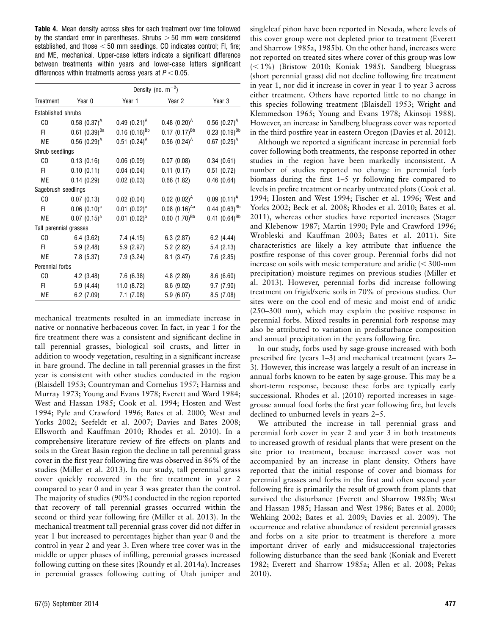Table 4. Mean density across sites for each treatment over time followed by the standard error in parentheses. Shrubs  $>50$  mm were considered established, and those  $<$  50 mm seedlings. CO indicates control; FI, fire; and ME, mechanical. Upper-case letters indicate a significant difference between treatments within years and lower-case letters significant differences within treatments across years at  $P < 0.05$ .

|                        |                      |                    | Density (no. $m^{-2}$ ) |                      |
|------------------------|----------------------|--------------------|-------------------------|----------------------|
| Treatment              | Year 0               | Year 1             | Year <sub>2</sub>       | Year 3               |
| Established shrubs     |                      |                    |                         |                      |
| CO                     | $0.58~(0.37)^A$      | $0.49~(0.21)^A$    | $0.48~(0.20)^A$         | $0.56~(0.27)^{A}$    |
| FL.                    | $0.61$ $(0.39)^{Ba}$ | $0.16~(0.16)^{Bb}$ | $0.17 (0.17)^{Bb}$      | $0.23$ $(0.19)^{Bb}$ |
| МE                     | $0.56$ $(0.29)^A$    | $0.51$ $(0.24)^A$  | $0.56$ $(0.24)^A$       | $0.67$ $(0.25)^A$    |
| Shrub seedlings        |                      |                    |                         |                      |
| CO                     | 0.13(0.16)           | 0.06(0.09)         | 0.07(0.08)              | 0.34(0.61)           |
| FL.                    | 0.10(0.11)           | 0.04(0.04)         | 0.11(0.17)              | 0.51(0.72)           |
| МE                     | 0.14(0.29)           | 0.02(0.03)         | 0.66(1.82)              | 0.46(0.64)           |
| Sagebrush seedlings    |                      |                    |                         |                      |
| CO.                    | 0.07(0.13)           | 0.02(0.04)         | $0.02$ $(0.02)^A$       | $0.09~(0.11)^A$      |
| FL.                    | $0.06$ $(0.10)^a$    | $0.01$ $(0.02)^a$  | $0.08$ $(0.16)^{Aa}$    | $0.44~(0.63)^{Bb}$   |
| МE                     | $0.07$ $(0.15)^{a}$  | $0.01$ $(0.02)^a$  | $0.60$ $(1.70)^{Bb}$    | $0.41 (0.64)^{Bb}$   |
| Tall perennial grasses |                      |                    |                         |                      |
| CO.                    | 6.4(3.62)            | 7.4(4.15)          | 6.3(2.87)               | 6.2(4.44)            |
| FI.                    | 5.9(2.48)            | 5.9(2.97)          | 5.2(2.82)               | 5.4(2.13)            |
| МE                     | 7.8(5.37)            | 7.9(3.24)          | 8.1(3.47)               | 7.6(2.85)            |
| Perennial forbs        |                      |                    |                         |                      |
| CO                     | 4.2(3.48)            | 7.6(6.38)          | 4.8(2.89)               | 8.6(6.60)            |
| FL.                    | 5.9 (4.44)           | 11.0(8.72)         | 8.6(9.02)               | 9.7(7.90)            |
| МE                     | 6.2(7.09)            | 7.1(7.08)          | 5.9(6.07)               | 8.5 (7.08)           |

mechanical treatments resulted in an immediate increase in native or nonnative herbaceous cover. In fact, in year 1 for the fire treatment there was a consistent and significant decline in tall perennial grasses, biological soil crusts, and litter in addition to woody vegetation, resulting in a significant increase in bare ground. The decline in tall perennial grasses in the first year is consistent with other studies conducted in the region (Blaisdell 1953; Countryman and Cornelius 1957; Harniss and Murray 1973; Young and Evans 1978; Everett and Ward 1984; West and Hassan 1985; Cook et al. 1994; Hosten and West 1994; Pyle and Crawford 1996; Bates et al. 2000; West and Yorks 2002; Seefeldt et al. 2007; Davies and Bates 2008; Ellsworth and Kauffman 2010; Rhodes et al. 2010). In a comprehensive literature review of fire effects on plants and soils in the Great Basin region the decline in tall perennial grass cover in the first year following fire was observed in 86% of the studies (Miller et al. 2013). In our study, tall perennial grass cover quickly recovered in the fire treatment in year 2 compared to year 0 and in year 3 was greater than the control. The majority of studies (90%) conducted in the region reported that recovery of tall perennial grasses occurred within the second or third year following fire (Miller et al. 2013). In the mechanical treatment tall perennial grass cover did not differ in year 1 but increased to percentages higher than year 0 and the control in year 2 and year 3. Even where tree cover was in the middle or upper phases of infilling, perennial grasses increased following cutting on these sites (Roundy et al. 2014a). Increases in perennial grasses following cutting of Utah juniper and singleleaf piñon have been reported in Nevada, where levels of this cover group were not depleted prior to treatment (Everett and Sharrow 1985a, 1985b). On the other hand, increases were not reported on treated sites where cover of this group was low  $(< 1\%)$  (Bristow 2010; Koniak 1985). Sandberg bluegrass (short perennial grass) did not decline following fire treatment in year 1, nor did it increase in cover in year 1 to year 3 across either treatment. Others have reported little to no change in this species following treatment (Blaisdell 1953; Wright and Klemmedson 1965; Young and Evans 1978; Akinsoji 1988). However, an increase in Sandberg bluegrass cover was reported in the third postfire year in eastern Oregon (Davies et al. 2012).

Although we reported a significant increase in perennial forb cover following both treatments, the response reported in other studies in the region have been markedly inconsistent. A number of studies reported no change in perennial forb biomass during the first 1–5 yr following fire compared to levels in prefire treatment or nearby untreated plots (Cook et al. 1994; Hosten and West 1994; Fischer et al. 1996; West and Yorks 2002; Beck et al. 2008; Rhodes et al. 2010; Bates et al. 2011), whereas other studies have reported increases (Stager and Klebenow 1987; Martin 1990; Pyle and Crawford 1996; Wrobleski and Kauffman 2003; Bates et al. 2011). Site characteristics are likely a key attribute that influence the postfire response of this cover group. Perennial forbs did not increase on soils with mesic temperature and aridic  $\approx 300$ -mm precipitation) moisture regimes on previous studies (Miller et al. 2013). However, perennial forbs did increase following treatment on frigid/xeric soils in 70% of previous studies. Our sites were on the cool end of mesic and moist end of aridic (250–300 mm), which may explain the positive response in perennial forbs. Mixed results in perennial forb response may also be attributed to variation in predisturbance composition and annual precipitation in the years following fire.

In our study, forbs used by sage-grouse increased with both prescribed fire (years 1–3) and mechanical treatment (years 2– 3). However, this increase was largely a result of an increase in annual forbs known to be eaten by sage-grouse. This may be a short-term response, because these forbs are typically early successional. Rhodes et al. (2010) reported increases in sagegrouse annual food forbs the first year following fire, but levels declined to unburned levels in years 2–5.

We attributed the increase in tall perennial grass and perennial forb cover in year 2 and year 3 in both treatments to increased growth of residual plants that were present on the site prior to treatment, because increased cover was not accompanied by an increase in plant density. Others have reported that the initial response of cover and biomass for perennial grasses and forbs in the first and often second year following fire is primarily the result of growth from plants that survived the disturbance (Everett and Sharrow 1985b; West and Hassan 1985; Hassan and West 1986; Bates et al. 2000; Wehking 2002; Bates et al. 2009; Davies et al. 2009). The occurrence and relative abundance of resident perennial grasses and forbs on a site prior to treatment is therefore a more important driver of early and midsuccessional trajectories following disturbance than the seed bank (Koniak and Everett 1982; Everett and Sharrow 1985a; Allen et al. 2008; Pekas 2010).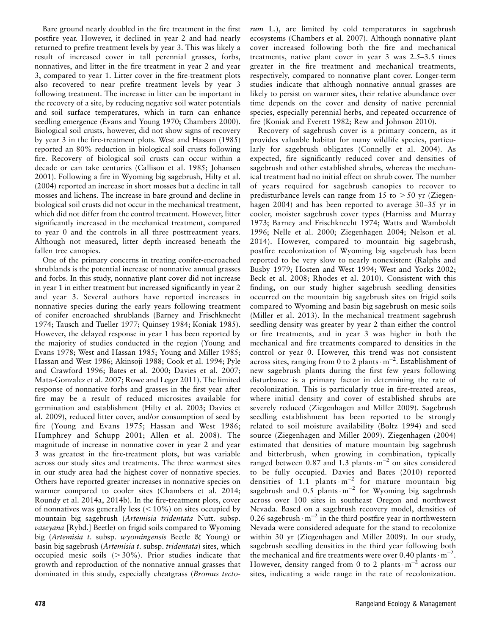Bare ground nearly doubled in the fire treatment in the first postfire year. However, it declined in year 2 and had nearly returned to prefire treatment levels by year 3. This was likely a result of increased cover in tall perennial grasses, forbs, nonnatives, and litter in the fire treatment in year 2 and year 3, compared to year 1. Litter cover in the fire-treatment plots also recovered to near prefire treatment levels by year 3 following treatment. The increase in litter can be important in the recovery of a site, by reducing negative soil water potentials and soil surface temperatures, which in turn can enhance seedling emergence (Evans and Young 1970; Chambers 2000). Biological soil crusts, however, did not show signs of recovery by year 3 in the fire-treatment plots. West and Hassan (1985) reported an 80% reduction in biological soil crusts following fire. Recovery of biological soil crusts can occur within a decade or can take centuries (Callison et al. 1985; Johansen 2001). Following a fire in Wyoming big sagebrush, Hilty et al. (2004) reported an increase in short mosses but a decline in tall mosses and lichens. The increase in bare ground and decline in biological soil crusts did not occur in the mechanical treatment, which did not differ from the control treatment. However, litter significantly increased in the mechanical treatment, compared to year 0 and the controls in all three posttreatment years. Although not measured, litter depth increased beneath the fallen tree canopies.

One of the primary concerns in treating conifer-encroached shrublands is the potential increase of nonnative annual grasses and forbs. In this study, nonnative plant cover did not increase in year 1 in either treatment but increased significantly in year 2 and year 3. Several authors have reported increases in nonnative species during the early years following treatment of conifer encroached shrublands (Barney and Frischknecht 1974; Tausch and Tueller 1977; Quinsey 1984; Koniak 1985). However, the delayed response in year 1 has been reported by the majority of studies conducted in the region (Young and Evans 1978; West and Hassan 1985; Young and Miller 1985; Hassan and West 1986; Akinsoji 1988; Cook et al. 1994; Pyle and Crawford 1996; Bates et al. 2000; Davies et al. 2007; Mata-Gonzalez et al. 2007; Rowe and Leger 2011). The limited response of nonnative forbs and grasses in the first year after fire may be a result of reduced microsites available for germination and establishment (Hilty et al. 2003; Davies et al. 2009), reduced litter cover, and/or consumption of seed by fire (Young and Evans 1975; Hassan and West 1986; Humphrey and Schupp 2001; Allen et al. 2008). The magnitude of increase in nonnative cover in year 2 and year 3 was greatest in the fire-treatment plots, but was variable across our study sites and treatments. The three warmest sites in our study area had the highest cover of nonnative species. Others have reported greater increases in nonnative species on warmer compared to cooler sites (Chambers et al. 2014; Roundy et al. 2014a, 2014b). In the fire-treatment plots, cover of nonnatives was generally less  $\left($  < 10%) on sites occupied by mountain big sagebrush (Artemisia tridentata Nutt. subsp. vaseyana [Rybd.] Beetle) on frigid soils compared to Wyoming big (Artemisia t. subsp. wyomingensis Beetle & Young) or basin big sagebrush (Artemisia t. subsp. tridentata) sites, which occupied mesic soils  $( > 30\%)$ . Prior studies indicate that growth and reproduction of the nonnative annual grasses that dominated in this study, especially cheatgrass (Bromus tectorum L.), are limited by cold temperatures in sagebrush ecosystems (Chambers et al. 2007). Although nonnative plant cover increased following both the fire and mechanical treatments, native plant cover in year 3 was 2.5–3.5 times greater in the fire treatment and mechanical treatments, respectively, compared to nonnative plant cover. Longer-term studies indicate that although nonnative annual grasses are likely to persist on warmer sites, their relative abundance over time depends on the cover and density of native perennial species, especially perennial herbs, and repeated occurrence of fire (Koniak and Everett 1982; Rew and Johnson 2010).

Recovery of sagebrush cover is a primary concern, as it provides valuable habitat for many wildlife species, particularly for sagebrush obligates (Connelly et al. 2004). As expected, fire significantly reduced cover and densities of sagebrush and other established shrubs, whereas the mechanical treatment had no initial effect on shrub cover. The number of years required for sagebrush canopies to recover to predisturbance levels can range from 15 to  $> 50$  yr (Ziegenhagen 2004) and has been reported to average 30–35 yr in cooler, moister sagebrush cover types (Harniss and Murray 1973; Barney and Frischknecht 1974; Watts and Wamboldt 1996; Nelle et al. 2000; Ziegenhagen 2004; Nelson et al. 2014). However, compared to mountain big sagebrush, postfire recolonization of Wyoming big sagebrush has been reported to be very slow to nearly nonexistent (Ralphs and Busby 1979; Hosten and West 1994; West and Yorks 2002; Beck et al. 2008; Rhodes et al. 2010). Consistent with this finding, on our study higher sagebrush seedling densities occurred on the mountain big sagebrush sites on frigid soils compared to Wyoming and basin big sagebrush on mesic soils (Miller et al. 2013). In the mechanical treatment sagebrush seedling density was greater by year 2 than either the control or fire treatments, and in year 3 was higher in both the mechanical and fire treatments compared to densities in the control or year 0. However, this trend was not consistent across sites, ranging from 0 to 2 plants $\cdot$  m<sup>-2</sup>. Establishment of new sagebrush plants during the first few years following disturbance is a primary factor in determining the rate of recolonization. This is particularly true in fire-treated areas, where initial density and cover of established shrubs are severely reduced (Ziegenhagen and Miller 2009). Sagebrush seedling establishment has been reported to be strongly related to soil moisture availability (Boltz 1994) and seed source (Ziegenhagen and Miller 2009). Ziegenhagen (2004) estimated that densities of mature mountain big sagebrush and bitterbrush, when growing in combination, typically ranged between 0.87 and 1.3 plants  $\cdot$  m<sup>-2</sup> on sites considered to be fully occupied. Davies and Bates (2010) reported densities of 1.1 plants  $m^{-2}$  for mature mountain big sagebrush and  $0.5$  plants  $\cdot$  m<sup>-2</sup> for Wyoming big sagebrush across over 100 sites in southeast Oregon and northwest Nevada. Based on a sagebrush recovery model, densities of 0.26 sagebrush  $\cdot$  m<sup>-2</sup> in the third postfire year in northwestern Nevada were considered adequate for the stand to recolonize within 30 yr (Ziegenhagen and Miller 2009). In our study, sagebrush seedling densities in the third year following both the mechanical and fire treatments were over 0.40 plants  $\cdot$  m<sup>-2</sup>. However, density ranged from 0 to 2 plants  $\cdot$  m<sup>-2</sup> across our sites, indicating a wide range in the rate of recolonization.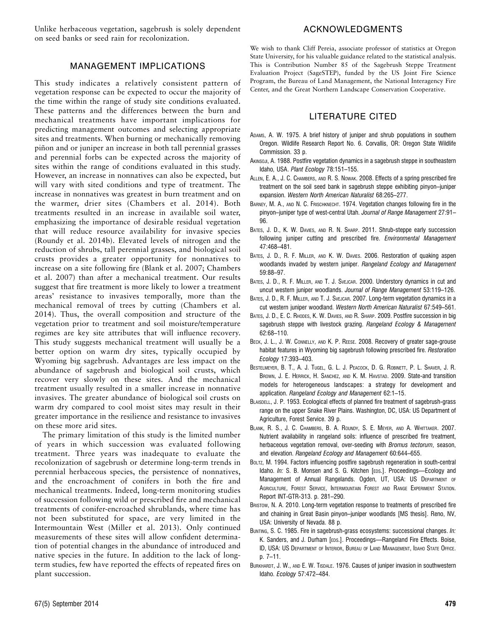Unlike herbaceous vegetation, sagebrush is solely dependent on seed banks or seed rain for recolonization.

#### ACKNOWLEDGMENTS

### MANAGEMENT IMPLICATIONS

This study indicates a relatively consistent pattern of vegetation response can be expected to occur the majority of the time within the range of study site conditions evaluated. These patterns and the differences between the burn and mechanical treatments have important implications for predicting management outcomes and selecting appropriate sites and treatments. When burning or mechanically removing piñon and or juniper an increase in both tall perennial grasses and perennial forbs can be expected across the majority of sites within the range of conditions evaluated in this study. However, an increase in nonnatives can also be expected, but will vary with sited conditions and type of treatment. The increase in nonnatives was greatest in burn treatment and on the warmer, drier sites (Chambers et al. 2014). Both treatments resulted in an increase in available soil water, emphasizing the importance of desirable residual vegetation that will reduce resource availability for invasive species (Roundy et al. 2014b). Elevated levels of nitrogen and the reduction of shrubs, tall perennial grasses, and biological soil crusts provides a greater opportunity for nonnatives to increase on a site following fire (Blank et al. 2007; Chambers et al. 2007) than after a mechanical treatment. Our results suggest that fire treatment is more likely to lower a treatment areas' resistance to invasives temporally, more than the mechanical removal of trees by cutting (Chambers et al. 2014). Thus, the overall composition and structure of the vegetation prior to treatment and soil moisture/temperature regimes are key site attributes that will influence recovery. This study suggests mechanical treatment will usually be a better option on warm dry sites, typically occupied by Wyoming big sagebrush. Advantages are less impact on the abundance of sagebrush and biological soil crusts, which recover very slowly on these sites. And the mechanical treatment usually resulted in a smaller increase in nonnative invasives. The greater abundance of biological soil crusts on warm dry compared to cool moist sites may result in their greater importance in the resilience and resistance to invasives on these more arid sites.

The primary limitation of this study is the limited number of years in which succession was evaluated following treatment. Three years was inadequate to evaluate the recolonization of sagebrush or determine long-term trends in perennial herbaceous species, the persistence of nonnatives, and the encroachment of conifers in both the fire and mechanical treatments. Indeed, long-term monitoring studies of succession following wild or prescribed fire and mechanical treatments of conifer-encroached shrublands, where time has not been substituted for space, are very limited in the Intermountain West (Miller et al. 2013). Only continued measurements of these sites will allow confident determination of potential changes in the abundance of introduced and native species in the future. In addition to the lack of longterm studies, few have reported the effects of repeated fires on plant succession.

We wish to thank Cliff Pereia, associate professor of statistics at Oregon State University, for his valuable guidance related to the statistical analysis. This is Contribution Number 85 of the Sagebrush Steppe Treatment Evaluation Project (SageSTEP), funded by the US Joint Fire Science Program, the Bureau of Land Management, the National Interagency Fire Center, and the Great Northern Landscape Conservation Cooperative.

### LITERATURE CITED

- ADAMS, A. W. 1975. A brief history of juniper and shrub populations in southern Oregon. Wildlife Research Report No. 6. Corvallis, OR: Oregon State Wildlife Commission. 33 p.
- AKINSOJI, A. 1988. Postfire vegetation dynamics in a sagebrush steppe in southeastern Idaho, USA. Plant Ecology 78:151–155.
- ALLEN, E. A., J. C. CHAMBERS, AND R. S. NOWAK. 2008. Effects of a spring prescribed fire treatment on the soil seed bank in sagebrush steppe exhibiting pinyon–juniper expansion. Western North American Naturalist 68:265–277.
- BARNEY, M. A., AND N. C. FRISCHKNECHT. 1974. Vegetation changes following fire in the pinyon-juniper type of west-central Utah. Journal of Range Management 27:91-96.
- BATES, J. D., K. W. DAVIES, AND R. N. SHARP. 2011. Shrub-steppe early succession following juniper cutting and prescribed fire. Environmental Management 47:468–481.
- BATES, J. D., R. F. MILLER, AND K. W. DAVIES. 2006. Restoration of quaking aspen woodlands invaded by western juniper. Rangeland Ecology and Management 59:88–97.
- BATES, J. D., R. F. MILLER, AND T. J. SVEJCAR. 2000. Understory dynamics in cut and uncut western juniper woodlands. Journal of Range Management 53:119-126.
- BATES, J. D., R. F. MILLER, AND T. J. SVEJCAR. 2007. Long-term vegetation dynamics in a cut western juniper woodland. Western North American Naturalist 67:549–561.
- BATES, J. D., E. C. RHODES, K. W. DAVIES, AND R. SHARP. 2009. Postfire succession in big sagebrush steppe with livestock grazing. Rangeland Ecology & Management 62:68–110.
- BECK, J. L., J. W. CONNELLY, AND K. P. REESE. 2008. Recovery of greater sage-grouse habitat features in Wyoming big sagebrush following prescribed fire. Restoration Ecology 17:393–403.
- BESTELMEYER, B. T., A. J. TUGEL, G. L. J. PEACOCK, D. G. ROBINETT, P. L. SHAVER, J. R. BROWN, J. E. HERRICK, H. SANCHEZ, AND K. M. HAVSTAD. 2009. State-and transition models for heterogeneous landscapes: a strategy for development and application. Rangeland Ecology and Management 62:1–15.
- BLAISDELL, J. P. 1953. Ecological effects of planned fire treatment of sagebrush-grass range on the upper Snake River Plains. Washington, DC, USA: US Department of Agriculture, Forest Service. 39 p.
- BLANK, R. S., J. C. CHAMBERS, B. A. ROUNDY, S. E. MEYER, AND A. WHITTAKER. 2007. Nutrient availability in rangeland soils: influence of prescribed fire treatment, herbaceous vegetation removal, over-seeding with Bromus tectorum, season, and elevation. Rangeland Ecology and Management 60:644–655.
- BOLTZ, M. 1994. Factors influencing postfire sagebrush regeneration in south-central Idaho. In: S. B. Monsen and S. G. Kitchen [EDS.]. Proceedings-Ecology and Management of Annual Rangelands. Ogden, UT, USA: US DEPARTMENT OF AGRICULTURE, FOREST SERVICE, INTERMOUNTAIN FOREST AND RANGE EXPERIMENT STATION. Report INT-GTR-313. p. 281–290.
- BRISTOW, N. A. 2010. Long-term vegetation response to treatments of prescribed fire and chaining in Great Basin pinyon–juniper woodlands [MS thesis]. Reno, NV, USA: University of Nevada. 88 p.
- BUNTING, S. C. 1985. Fire in sagebrush-grass ecosystems: successional changes. In: K. Sanders, and J. Durham [EDS.]. Proceedings—Rangeland Fire Effects. Boise, ID, USA: US DEPARTMENT OF INTERIOR, BUREAU OF LAND MANAGEMENT, IDAHO STATE OFFICE. p. 7–11.
- BURKHARDT, J. W., AND E. W. TISDALE. 1976. Causes of juniper invasion in southwestern Idaho. Ecology 57:472–484.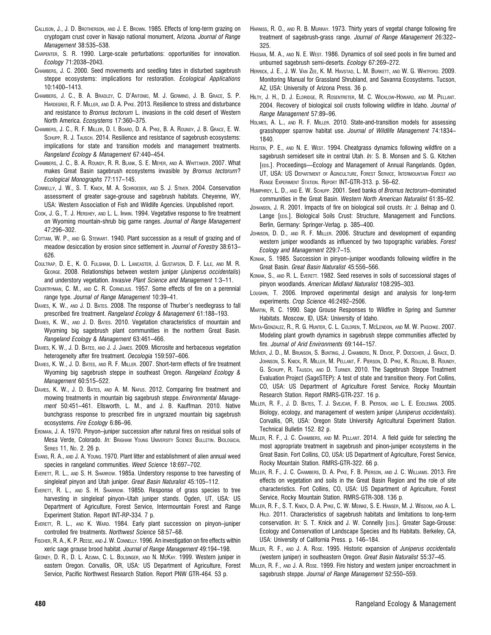- CALLISON, J., J. D. BROTHERSON, AND J. E. BROWN. 1985. Effects of long-term grazing on cryptogam crust cover in Navajo national monument, Arizona. Journal of Range Management 38:535–538.
- CARPENTER, S. R. 1990. Large-scale perturbations: opportunities for innovation. Ecology 71:2038–2043.
- CHAMBERS, J. C. 2000. Seed movements and seedling fates in disturbed sagebrush steppe ecosystems: implications for restoration. Ecological Applications 10:1400–1413.
- CHAMBERS, J. C., B. A. BRADLEY, C. D'ANTONIO, M. J. GERMINO, J. B. GRACE, S. P. HARDEGREE, R. F. MILLER, AND D. A. PYKE. 2013. Resilience to stress and disturbance and resistance to Bromus tectorum L. invasions in the cold desert of Western North America. Ecosystems 17:360–375.
- CHAMBERS, J. C., R. F. MILLER, D. I. BOARD, D. A. PYKE, B. A. ROUNDY, J. B. GRACE, E. W. SCHUPP, R. J. TAUSCH. 2014. Resilience and resistance of sagebrush ecosystems: implications for state and transition models and management treatments. Rangeland Ecology & Management 67:440–454.
- CHAMBERS, J. C., B. A. ROUNDY, R. R. BLANK, S. E. MEYER, AND A. WHITTAKER. 2007. What makes Great Basin sagebrush ecosystems invasible by Bromus tectorum? Ecological Monographs 77:117–145.
- CONNELLY, J. W., S. T. KNICK, M. A. SCHROEDER, AND S. J. STIVER. 2004. Conservation assessment of greater sage-grouse and sagebrush habitats. Cheyenne, WY, USA: Western Association of Fish and Wildlife Agencies. Unpublished report.
- COOK, J. G., T. J. HERSHEY, AND L. L. IRWIN. 1994. Vegetative response to fire treatment on Wyoming mountain-shrub big game ranges. Journal of Range Management 47:296–302.
- COTTAM, W. P., AND G. STEWART. 1940. Plant succession as a result of grazing and of meadow desiccation by erosion since settlement in. Journal of Forestry 38:613-626.
- COULTRAP, D. E., K. O. FULGHAM, D. L. LANCASTER, J. GUSTAFSON, D. F. LILE, AND M. R. GEORGE. 2008. Relationships between western juniper (Juniperus occidentalis) and understory vegetation. Invasive Plant Science and Management 1:3–11.
- COUNTRYMAN, C. M., AND C. R. CORNELIUS. 1957. Some effects of fire on a perennial range type. Journal of Range Management 10:39–41.
- DAVIES, K. W., AND J. D. BATES. 2008. The response of Thurber's needlegrass to fall prescribed fire treatment. Rangeland Ecology & Management 61:188–193.
- DAVIES, K. W., AND J. D. BATES. 2010. Vegetation characteristics of mountain and Wyoming big sagebrush plant communities in the northern Great Basin. Rangeland Ecology & Management 63:461–466.
- DAVIES, K. W., J. D. BATES, AND J. J. JAMES. 2009. Microsite and herbaceous vegetation heterogeneity after fire treatment. Oecologia 159:597–606.
- DAVIES, K. W., J. D. BATES, AND R. F. MILLER. 2007. Short-term effects of fire treatment Wyoming big sagebrush steppe in southeast Oregon. Rangeland Ecology & Management 60:515–522.
- DAVIES, K. W., J. D. BATES, AND A. M. NAFUS. 2012. Comparing fire treatment and mowing treatments in mountain big sagebrush steppe. Environmental Management 50:451-461. Ellsworth, L. M., and J. B. Kauffman. 2010. Native bunchgrass response to prescribed fire in ungrazed mountain big sagebrush ecosystems. Fire Ecology 6:86–96.
- ERDMAN, J. A. 1970. Pinyon–juniper succession after natural fires on residual soils of Mesa Verde, Colorado. In: BRIGHAM YOUNG UNIVERSITY SCIENCE BULLETIN. BIOLOGICAL SERIES 11, NO. 2. 26 p.
- EVANS, R. A., AND J. A. YOUNG. 1970. Plant litter and establishment of alien annual weed species in rangeland communities. Weed Science 18:697–702.
- EVERETT, R. L., AND S. H. SHARROW. 1985a. Understory response to tree harvesting of singleleaf pinyon and Utah juniper. Great Basin Naturalist 45:105–112.
- EVERETT, R. L., AND S. H. SHARROW. 1985b. Response of grass species to tree harvesting in singleleaf pinyon–Utah juniper stands. Ogden, UT, USA: US Department of Agriculture, Forest Service, Intermountain Forest and Range Experiment Station. Report INT-RP-334. 7 p.
- EVERETT, R. L., AND K. WARD. 1984. Early plant succession on pinyon–juniper controlled fire treatments. Northwest Science 58:57–68.
- FISCHER, R. A., K. P. REESE, AND J. W. CONNELLY. 1996. An investigation on fire effects within xeric sage grouse brood habitat. Journal of Range Management 49:194–198.
- GEDNEY, D. R., D. L. AZUMA, C. L. BOLSINGER, AND N. MCKAY. 1999. Western juniper in eastern Oregon. Corvallis, OR, USA: US Department of Agriculture, Forest Service, Pacific Northwest Research Station. Report PNW GTR-464. 53 p.
- HARNISS, R. O., AND R. B. MURRAY. 1973. Thirty years of vegetal change following fire treatment of sagebrush-grass range. Journal of Range Management 26:322– 325.
- HASSAN, M. A., AND N. E. WEST. 1986. Dynamics of soil seed pools in fire burned and unburned sagebrush semi-deserts. Ecology 67:269–272.
- HERRICK, J. E., J. W. VAN ZEE, K. M. HAVSTAD, L. M. BURKETT, AND W. G. WHITFORD. 2009. Monitoring Manual for Grassland Shrubland, and Savanna Ecosystems. Tucson, AZ, USA: University of Arizona Press. 36 p.
- HILTY, J. H., D. J. ELDRIDGE, R. ROSENTRETER, M. C. WICKLOW-HOWARD, AND M. PELLANT. 2004. Recovery of biological soil crusts following wildfire in Idaho. Journal of Range Management 57:89–96.
- HOLMES, A. L., AND R. F. MILLER. 2010. State-and-transition models for assessing grasshopper sparrow habitat use. Journal of Wildlife Management 74:1834– 1840.
- HOSTEN, P. E., AND N. E. WEST. 1994. Cheatgrass dynamics following wildfire on a sagebrush semidesert site in central Utah. In: S. B. Monsen and S. G. Kitchen [EDS.]. Proceedings—Ecology and Management of Annual Rangelands. Ogden, UT, USA: US DEPARTMENT OF AGRICULTURE, FOREST SERVICE, INTERMOUNTAIN FOREST AND RANGE EXPERIMENT STATION. REPORT INT-GTR-313. p. 56–62.
- HUMPHREY, L. D., AND E. W. SCHUPP. 2001. Seed banks of Bromus tectorum-dominated communities in the Great Basin. Western North American Naturalist 61:85–92.
- JOHANSEN, J. R. 2001. Impacts of fire on biological soil crusts. In: J. Belnap and O. Lange [EDS.]. Biological Soils Crust: Structure, Management and Functions. Berlin, Germany: Springer-Verlag. p. 385–400.
- JOHNSON, D. D., AND R. F. MILLER. 2006. Structure and development of expanding western juniper woodlands as influenced by two topographic variables. Forest Ecology and Management 229:7–15.
- KONIAK, S. 1985. Succession in pinyon-juniper woodlands following wildfire in the Great Basin. Great Basin Naturalist 45:556–566.
- KONIAK, S., AND R. L. EVERETT. 1982. Seed reserves in soils of successional stages of pinyon woodlands. American Midland Naturalist 108:295–303.
- LOUGHIN, T. 2006. Improved experimental design and analysis for long-term experiments. Crop Science 46:2492–2506.
- MARTIN, R. C. 1990. Sage Grouse Responses to Wildfire in Spring and Summer Habitats. Moscow, ID, USA: University of Idaho.
- MATA-GONZALEZ, R., R. G. HUNTER, C. L. COLDREN, T. MCLENDON, AND M. W. PASCHKE. 2007. Modeling plant growth dynamics in sagebrush steppe communities affected by fire. Journal of Arid Environments 69:144–157.
- MCIVER, J. D., M. BRUNSON, S. BUNTING, J. CHAMBERS, N. DEVOE, P. DOESCHER, J. GRACE, D. JOHNSON, S. KNICK, R. MILLER, M. PELLANT, F. PIERSON, D. PYKE, K. ROLLINS, B. ROUNDY, G. SCHUPP, R. TAUSCH, AND D. TURNER. 2010. The Sagebrush Steppe Treatment Evaluation Project (SageSTEP): A test of state and transition theory. Fort Collins, CO, USA: US Department of Agriculture Forest Service, Rocky Mountain Research Station. Report RMRS-GTR-237. 16 p.
- MILLER, R. F., J. D. BATES, T. J. SVEJCAR, F. B. PIERSON, AND L. E. EDDLEMAN. 2005. Biology, ecology, and management of western juniper (*Juniperus occidentalis*). Corvallis, OR, USA: Oregon State University Agricultural Experiment Station. Technical Bulletin 152. 82 p.
- MILLER, R. F., J. C. CHAMBERS, AND M. PELLANT. 2014. A field guide for selecting the most appropriate treatment in sagebrush and pinon-juniper ecosystems in the Great Basin. Fort Collins, CO, USA: US Department of Agriculture, Forest Service, Rocky Mountain Station. RMRS-GTR-322. 66 p.
- MILLER, R. F., J. C. CHAMBERS, D. A. PYKE, F. B. PIERSON, AND J. C. WILLIAMS. 2013. Fire effects on vegetation and soils in the Great Basin Region and the role of site characteristics. Fort Collins, CO, USA: US Department of Agriculture, Forest Service, Rocky Mountain Station. RMRS-GTR-308. 136 p.
- MILLER, R. F., S. T. KNICK, D. A. PYKE, C. W. MEINKE, S. E. HANSER, M. J. WISDOM, AND A. L. HILD. 2011. Characteristics of sagebrush habitats and limitations to long-term conservation. In: S. T. Knick and J. W. Connelly [EDS.]. Greater Sage-Grouse: Ecology and Conservation of Landscape Species and Its Habitats. Berkeley, CA, USA: University of California Press. p. 146–184.
- MILLER, R. F., AND J. A. ROSE. 1995. Historic expansion of Juniperus occidentalis (western juniper) in southeastern Oregon. Great Basin Naturalist 55:37–45.
- MILLER, R. F., AND J. A. ROSE. 1999. Fire history and western juniper encroachment in sagebrush steppe. Journal of Range Management 52:550–559.